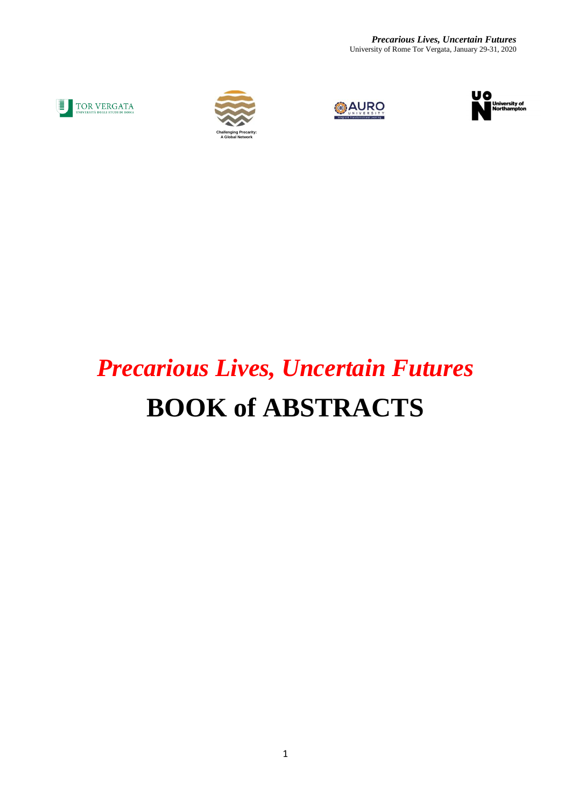*Precarious Lives, Uncertain Futures* University of Rome Tor Vergata, January 29-31, 2020









# *Precarious Lives, Uncertain Futures* **BOOK of ABSTRACTS**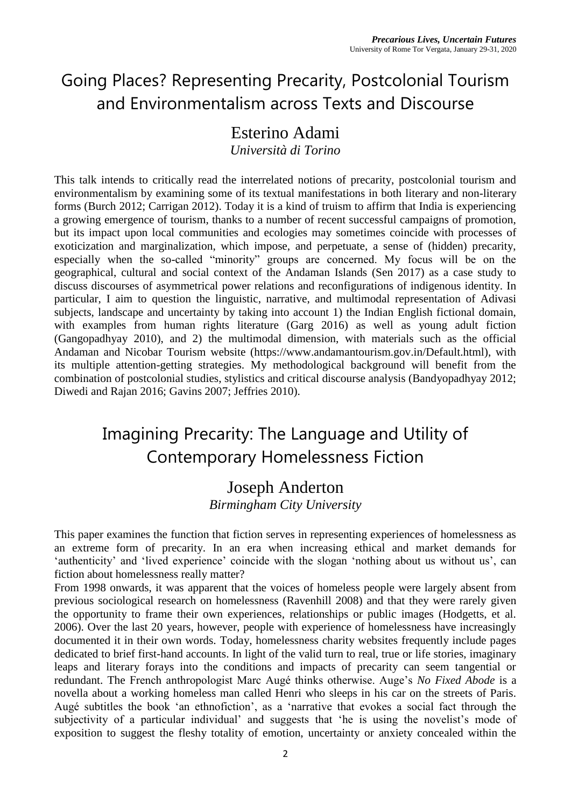# Going Places? Representing Precarity, Postcolonial Tourism and Environmentalism across Texts and Discourse

### Esterino Adami

*Università di Torino*

This talk intends to critically read the interrelated notions of precarity, postcolonial tourism and environmentalism by examining some of its textual manifestations in both literary and non-literary forms (Burch 2012; Carrigan 2012). Today it is a kind of truism to affirm that India is experiencing a growing emergence of tourism, thanks to a number of recent successful campaigns of promotion, but its impact upon local communities and ecologies may sometimes coincide with processes of exoticization and marginalization, which impose, and perpetuate, a sense of (hidden) precarity, especially when the so-called "minority" groups are concerned. My focus will be on the geographical, cultural and social context of the Andaman Islands (Sen 2017) as a case study to discuss discourses of asymmetrical power relations and reconfigurations of indigenous identity. In particular, I aim to question the linguistic, narrative, and multimodal representation of Adivasi subjects, landscape and uncertainty by taking into account 1) the Indian English fictional domain, with examples from human rights literature (Garg 2016) as well as young adult fiction (Gangopadhyay 2010), and 2) the multimodal dimension, with materials such as the official Andaman and Nicobar Tourism website (https://www.andamantourism.gov.in/Default.html), with its multiple attention-getting strategies. My methodological background will benefit from the combination of postcolonial studies, stylistics and critical discourse analysis (Bandyopadhyay 2012; Diwedi and Rajan 2016; Gavins 2007; Jeffries 2010).

### Imagining Precarity: The Language and Utility of Contemporary Homelessness Fiction

#### Joseph Anderton *Birmingham City University*

This paper examines the function that fiction serves in representing experiences of homelessness as an extreme form of precarity. In an era when increasing ethical and market demands for 'authenticity' and 'lived experience' coincide with the slogan 'nothing about us without us', can fiction about homelessness really matter?

From 1998 onwards, it was apparent that the voices of homeless people were largely absent from previous sociological research on homelessness (Ravenhill 2008) and that they were rarely given the opportunity to frame their own experiences, relationships or public images (Hodgetts, et al. 2006). Over the last 20 years, however, people with experience of homelessness have increasingly documented it in their own words. Today, homelessness charity websites frequently include pages dedicated to brief first-hand accounts. In light of the valid turn to real, true or life stories, imaginary leaps and literary forays into the conditions and impacts of precarity can seem tangential or redundant. The French anthropologist Marc Augé thinks otherwise. Auge's *No Fixed Abode* is a novella about a working homeless man called Henri who sleeps in his car on the streets of Paris. Augé subtitles the book 'an ethnofiction', as a 'narrative that evokes a social fact through the subjectivity of a particular individual' and suggests that 'he is using the novelist's mode of exposition to suggest the fleshy totality of emotion, uncertainty or anxiety concealed within the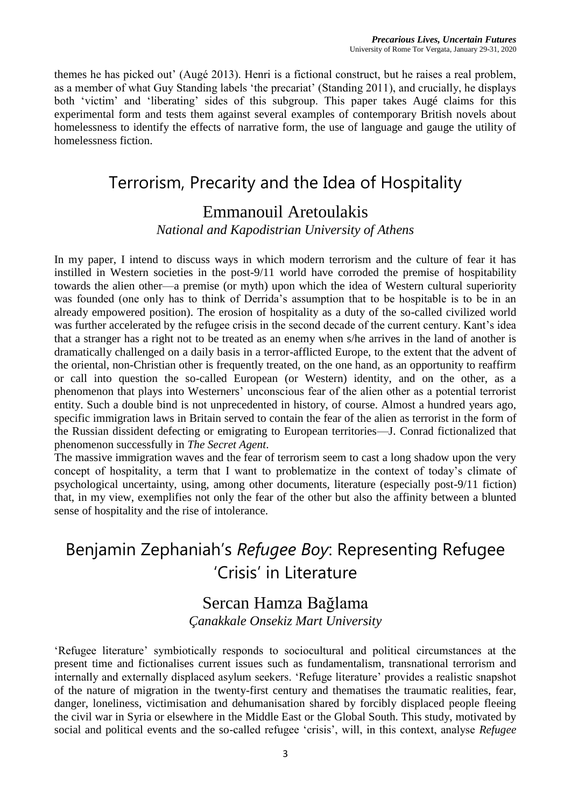themes he has picked out' (Augé 2013). Henri is a fictional construct, but he raises a real problem, as a member of what Guy Standing labels 'the precariat' (Standing 2011), and crucially, he displays both 'victim' and 'liberating' sides of this subgroup. This paper takes Augé claims for this experimental form and tests them against several examples of contemporary British novels about homelessness to identify the effects of narrative form, the use of language and gauge the utility of homelessness fiction.

### Terrorism, Precarity and the Idea of Hospitality

### Emmanouil Aretoulakis

*National and Kapodistrian University of Athens*

In my paper, I intend to discuss ways in which modern terrorism and the culture of fear it has instilled in Western societies in the post-9/11 world have corroded the premise of hospitability towards the alien other—a premise (or myth) upon which the idea of Western cultural superiority was founded (one only has to think of Derrida's assumption that to be hospitable is to be in an already empowered position). The erosion of hospitality as a duty of the so-called civilized world was further accelerated by the refugee crisis in the second decade of the current century. Kant's idea that a stranger has a right not to be treated as an enemy when s/he arrives in the land of another is dramatically challenged on a daily basis in a terror-afflicted Europe, to the extent that the advent of the oriental, non-Christian other is frequently treated, on the one hand, as an opportunity to reaffirm or call into question the so-called European (or Western) identity, and on the other, as a phenomenon that plays into Westerners' unconscious fear of the alien other as a potential terrorist entity. Such a double bind is not unprecedented in history, of course. Almost a hundred years ago, specific immigration laws in Britain served to contain the fear of the alien as terrorist in the form of the Russian dissident defecting or emigrating to European territories—J. Conrad fictionalized that phenomenon successfully in *The Secret Agent*.

The massive immigration waves and the fear of terrorism seem to cast a long shadow upon the very concept of hospitality, a term that I want to problematize in the context of today's climate of psychological uncertainty, using, among other documents, literature (especially post-9/11 fiction) that, in my view, exemplifies not only the fear of the other but also the affinity between a blunted sense of hospitality and the rise of intolerance.

# Benjamin Zephaniah's *Refugee Boy*: Representing Refugee 'Crisis' in Literature

#### Sercan Hamza Bağlama *Çanakkale Onsekiz Mart University*

'Refugee literature' symbiotically responds to sociocultural and political circumstances at the present time and fictionalises current issues such as fundamentalism, transnational terrorism and internally and externally displaced asylum seekers. 'Refuge literature' provides a realistic snapshot of the nature of migration in the twenty-first century and thematises the traumatic realities, fear, danger, loneliness, victimisation and dehumanisation shared by forcibly displaced people fleeing the civil war in Syria or elsewhere in the Middle East or the Global South. This study, motivated by social and political events and the so-called refugee 'crisis', will, in this context, analyse *Refugee*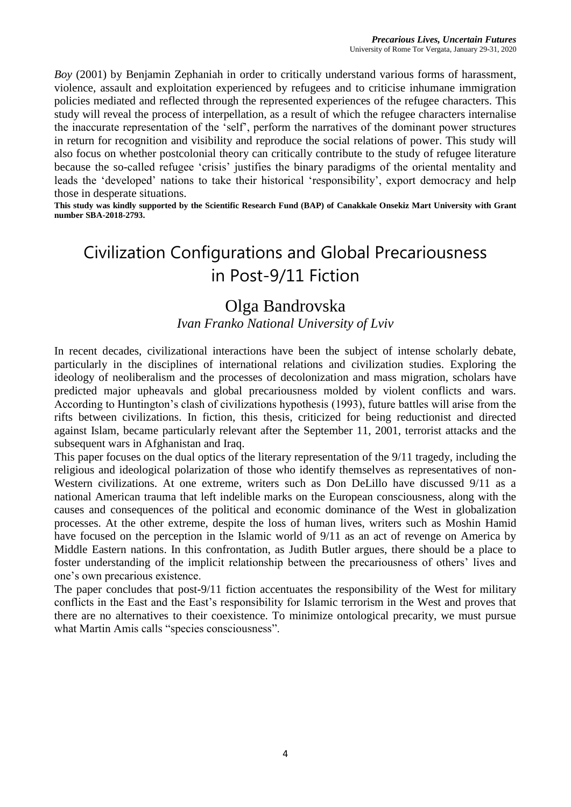*Boy* (2001) by Benjamin Zephaniah in order to critically understand various forms of harassment, violence, assault and exploitation experienced by refugees and to criticise inhumane immigration policies mediated and reflected through the represented experiences of the refugee characters. This study will reveal the process of interpellation, as a result of which the refugee characters internalise the inaccurate representation of the 'self', perform the narratives of the dominant power structures in return for recognition and visibility and reproduce the social relations of power. This study will also focus on whether postcolonial theory can critically contribute to the study of refugee literature because the so-called refugee 'crisis' justifies the binary paradigms of the oriental mentality and leads the 'developed' nations to take their historical 'responsibility', export democracy and help those in desperate situations.

**This study was kindly supported by the Scientific Research Fund (BAP) of Canakkale Onsekiz Mart University with Grant number SBA-2018-2793.**

# Civilization Configurations and Global Precariousness in Post-9/11 Fiction

#### Olga Bandrovska

#### *Ivan Franko National University of Lviv*

In recent decades, civilizational interactions have been the subject of intense scholarly debate, particularly in the disciplines of international relations and civilization studies. Exploring the ideology of neoliberalism and the processes of decolonization and mass migration, scholars have predicted major upheavals and global precariousness molded by violent conflicts and wars. According to Huntington's clash of civilizations hypothesis (1993), future battles will arise from the rifts between civilizations. In fiction, this thesis, criticized for being reductionist and directed against Islam, became particularly relevant after the September 11, 2001, terrorist attacks and the subsequent wars in Afghanistan and Iraq.

This paper focuses on the dual optics of the literary representation of the 9/11 tragedy, including the religious and ideological polarization of those who identify themselves as representatives of non-Western civilizations. At one extreme, writers such as Don DeLillo have discussed 9/11 as a national American trauma that left indelible marks on the European consciousness, along with the causes and consequences of the political and economic dominance of the West in globalization processes. At the other extreme, despite the loss of human lives, writers such as Moshin Hamid have focused on the perception in the Islamic world of 9/11 as an act of revenge on America by Middle Eastern nations. In this confrontation, as Judith Butler argues, there should be a place to foster understanding of the implicit relationship between the precariousness of others' lives and one's own precarious existence.

The paper concludes that post-9/11 fiction accentuates the responsibility of the West for military conflicts in the East and the East's responsibility for Islamic terrorism in the West and proves that there are no alternatives to their coexistence. To minimize ontological precarity, we must pursue what Martin Amis calls "species consciousness".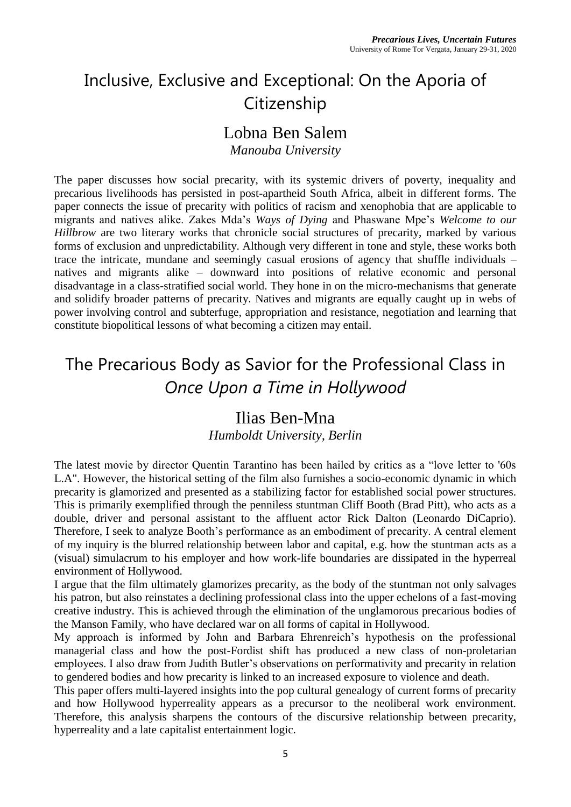# Inclusive, Exclusive and Exceptional: On the Aporia of **Citizenship**

#### Lobna Ben Salem

*Manouba University*

The paper discusses how social precarity, with its systemic drivers of poverty, inequality and precarious livelihoods has persisted in post-apartheid South Africa, albeit in different forms. The paper connects the issue of precarity with politics of racism and xenophobia that are applicable to migrants and natives alike. Zakes Mda's *Ways of Dying* and Phaswane Mpe's *Welcome to our Hillbrow* are two literary works that chronicle social structures of precarity, marked by various forms of exclusion and unpredictability. Although very different in tone and style, these works both trace the intricate, mundane and seemingly casual erosions of agency that shuffle individuals – natives and migrants alike – downward into positions of relative economic and personal disadvantage in a class-stratified social world. They hone in on the micro-mechanisms that generate and solidify broader patterns of precarity. Natives and migrants are equally caught up in webs of power involving control and subterfuge, appropriation and resistance, negotiation and learning that constitute biopolitical lessons of what becoming a citizen may entail.

### The Precarious Body as Savior for the Professional Class in *Once Upon a Time in Hollywood*

#### Ilias Ben-Mna

*Humboldt University, Berlin*

The latest movie by director Quentin Tarantino has been hailed by critics as a "love letter to '60s L.A". However, the historical setting of the film also furnishes a socio-economic dynamic in which precarity is glamorized and presented as a stabilizing factor for established social power structures. This is primarily exemplified through the penniless stuntman Cliff Booth (Brad Pitt), who acts as a double, driver and personal assistant to the affluent actor Rick Dalton (Leonardo DiCaprio). Therefore, I seek to analyze Booth's performance as an embodiment of precarity. A central element of my inquiry is the blurred relationship between labor and capital, e.g. how the stuntman acts as a (visual) simulacrum to his employer and how work-life boundaries are dissipated in the hyperreal environment of Hollywood.

I argue that the film ultimately glamorizes precarity, as the body of the stuntman not only salvages his patron, but also reinstates a declining professional class into the upper echelons of a fast-moving creative industry. This is achieved through the elimination of the unglamorous precarious bodies of the Manson Family, who have declared war on all forms of capital in Hollywood.

My approach is informed by John and Barbara Ehrenreich's hypothesis on the professional managerial class and how the post-Fordist shift has produced a new class of non-proletarian employees. I also draw from Judith Butler's observations on performativity and precarity in relation to gendered bodies and how precarity is linked to an increased exposure to violence and death.

This paper offers multi-layered insights into the pop cultural genealogy of current forms of precarity and how Hollywood hyperreality appears as a precursor to the neoliberal work environment. Therefore, this analysis sharpens the contours of the discursive relationship between precarity, hyperreality and a late capitalist entertainment logic.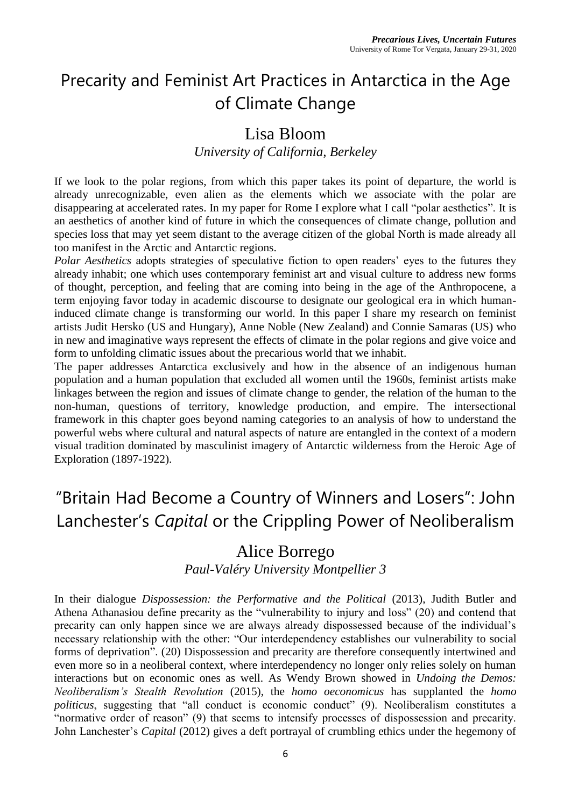# Precarity and Feminist Art Practices in Antarctica in the Age of Climate Change

### Lisa Bloom

#### *University of California, Berkeley*

If we look to the polar regions, from which this paper takes its point of departure, the world is already unrecognizable, even alien as the elements which we associate with the polar are disappearing at accelerated rates. In my paper for Rome I explore what I call "polar aesthetics". It is an aesthetics of another kind of future in which the consequences of climate change, pollution and species loss that may yet seem distant to the average citizen of the global North is made already all too manifest in the Arctic and Antarctic regions.

*Polar Aesthetics* adopts strategies of speculative fiction to open readers' eyes to the futures they already inhabit; one which uses contemporary feminist art and visual culture to address new forms of thought, perception, and feeling that are coming into being in the age of the Anthropocene, a term enjoying favor today in academic discourse to designate our geological era in which humaninduced climate change is transforming our world. In this paper I share my research on feminist artists Judit Hersko (US and Hungary), Anne Noble (New Zealand) and Connie Samaras (US) who in new and imaginative ways represent the effects of climate in the polar regions and give voice and form to unfolding climatic issues about the precarious world that we inhabit.

The paper addresses Antarctica exclusively and how in the absence of an indigenous human population and a human population that excluded all women until the 1960s, feminist artists make linkages between the region and issues of climate change to gender, the relation of the human to the non-human, questions of territory, knowledge production, and empire. The intersectional framework in this chapter goes beyond naming categories to an analysis of how to understand the powerful webs where cultural and natural aspects of nature are entangled in the context of a modern visual tradition dominated by masculinist imagery of Antarctic wilderness from the Heroic Age of Exploration (1897-1922).

# "Britain Had Become a Country of Winners and Losers": John Lanchester's *Capital* or the Crippling Power of Neoliberalism

#### Alice Borrego

*Paul-Valéry University Montpellier 3*

In their dialogue *Dispossession: the Performative and the Political* (2013), Judith Butler and Athena Athanasiou define precarity as the "vulnerability to injury and loss" (20) and contend that precarity can only happen since we are always already dispossessed because of the individual's necessary relationship with the other: "Our interdependency establishes our vulnerability to social forms of deprivation". (20) Dispossession and precarity are therefore consequently intertwined and even more so in a neoliberal context, where interdependency no longer only relies solely on human interactions but on economic ones as well. As Wendy Brown showed in *Undoing the Demos: Neoliberalism's Stealth Revolution* (2015), the *homo oeconomicus* has supplanted the *homo politicus*, suggesting that "all conduct is economic conduct" (9). Neoliberalism constitutes a "normative order of reason" (9) that seems to intensify processes of dispossession and precarity. John Lanchester's *Capital* (2012) gives a deft portrayal of crumbling ethics under the hegemony of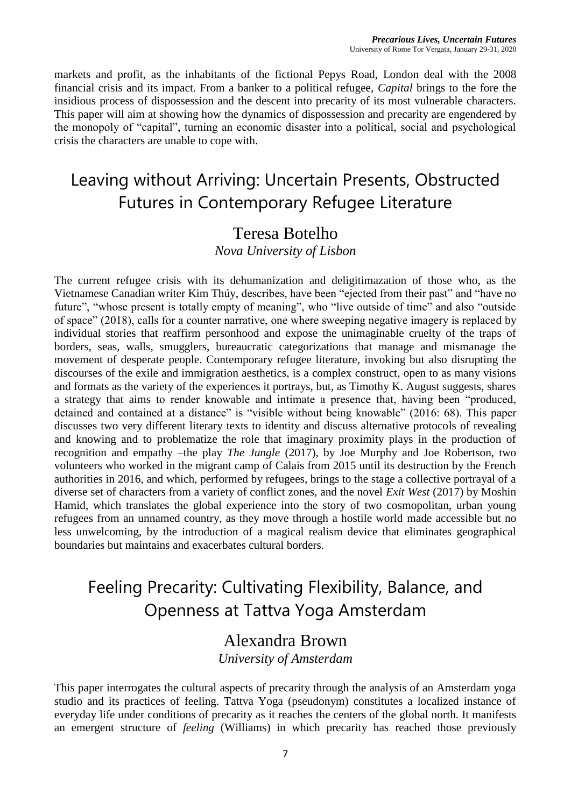markets and profit, as the inhabitants of the fictional Pepys Road, London deal with the 2008 financial crisis and its impact. From a banker to a political refugee, *Capital* brings to the fore the insidious process of dispossession and the descent into precarity of its most vulnerable characters. This paper will aim at showing how the dynamics of dispossession and precarity are engendered by the monopoly of "capital", turning an economic disaster into a political, social and psychological crisis the characters are unable to cope with.

### Leaving without Arriving: Uncertain Presents, Obstructed Futures in Contemporary Refugee Literature

### Teresa Botelho

*Nova University of Lisbon*

The current refugee crisis with its dehumanization and deligitimazation of those who, as the Vietnamese Canadian writer Kim Thúy, describes, have been "ejected from their past" and "have no future", "whose present is totally empty of meaning", who "live outside of time" and also "outside of space" (2018), calls for a counter narrative, one where sweeping negative imagery is replaced by individual stories that reaffirm personhood and expose the unimaginable cruelty of the traps of borders, seas, walls, smugglers, bureaucratic categorizations that manage and mismanage the movement of desperate people. Contemporary refugee literature, invoking but also disrupting the discourses of the exile and immigration aesthetics, is a complex construct, open to as many visions and formats as the variety of the experiences it portrays, but, as Timothy K. August suggests, shares a strategy that aims to render knowable and intimate a presence that, having been "produced, detained and contained at a distance" is "visible without being knowable" (2016: 68). This paper discusses two very different literary texts to identity and discuss alternative protocols of revealing and knowing and to problematize the role that imaginary proximity plays in the production of recognition and empathy –the play *The Jungle* (2017), by Joe Murphy and Joe Robertson, two volunteers who worked in the migrant camp of Calais from 2015 until its destruction by the French authorities in 2016, and which, performed by refugees, brings to the stage a collective portrayal of a diverse set of characters from a variety of conflict zones, and the novel *Exit West* (2017) by Moshin Hamid, which translates the global experience into the story of two cosmopolitan, urban young refugees from an unnamed country, as they move through a hostile world made accessible but no less unwelcoming, by the introduction of a magical realism device that eliminates geographical boundaries but maintains and exacerbates cultural borders.

### Feeling Precarity: Cultivating Flexibility, Balance, and Openness at Tattva Yoga Amsterdam

#### Alexandra Brown *University of Amsterdam*

This paper interrogates the cultural aspects of precarity through the analysis of an Amsterdam yoga studio and its practices of feeling. Tattva Yoga (pseudonym) constitutes a localized instance of everyday life under conditions of precarity as it reaches the centers of the global north. It manifests an emergent structure of *feeling* (Williams) in which precarity has reached those previously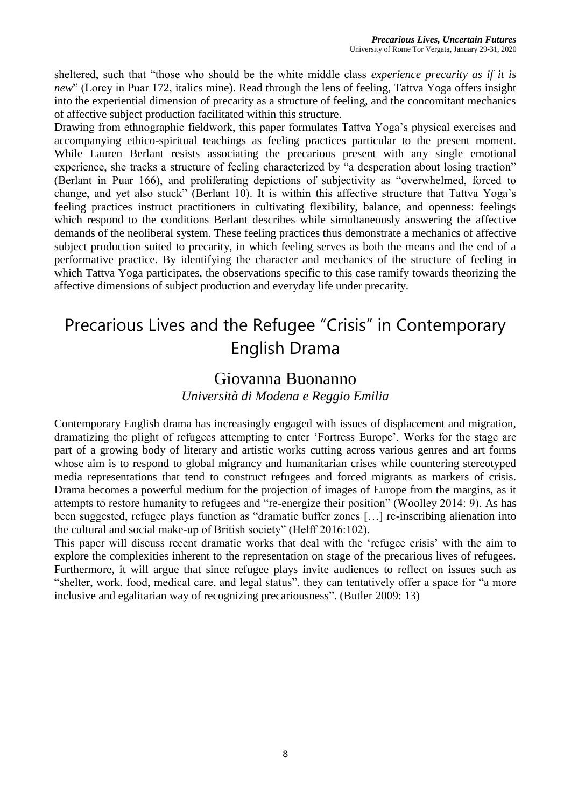sheltered, such that "those who should be the white middle class *experience precarity as if it is new*" (Lorey in Puar 172, italics mine). Read through the lens of feeling, Tattva Yoga offers insight into the experiential dimension of precarity as a structure of feeling, and the concomitant mechanics of affective subject production facilitated within this structure.

Drawing from ethnographic fieldwork, this paper formulates Tattva Yoga's physical exercises and accompanying ethico-spiritual teachings as feeling practices particular to the present moment. While Lauren Berlant resists associating the precarious present with any single emotional experience, she tracks a structure of feeling characterized by "a desperation about losing traction" (Berlant in Puar 166), and proliferating depictions of subjectivity as "overwhelmed, forced to change, and yet also stuck" (Berlant 10). It is within this affective structure that Tattva Yoga's feeling practices instruct practitioners in cultivating flexibility, balance, and openness: feelings which respond to the conditions Berlant describes while simultaneously answering the affective demands of the neoliberal system. These feeling practices thus demonstrate a mechanics of affective subject production suited to precarity, in which feeling serves as both the means and the end of a performative practice. By identifying the character and mechanics of the structure of feeling in which Tattva Yoga participates, the observations specific to this case ramify towards theorizing the affective dimensions of subject production and everyday life under precarity.

# Precarious Lives and the Refugee "Crisis" in Contemporary English Drama

#### Giovanna Buonanno

*Università di Modena e Reggio Emilia*

Contemporary English drama has increasingly engaged with issues of displacement and migration, dramatizing the plight of refugees attempting to enter 'Fortress Europe'. Works for the stage are part of a growing body of literary and artistic works cutting across various genres and art forms whose aim is to respond to global migrancy and humanitarian crises while countering stereotyped media representations that tend to construct refugees and forced migrants as markers of crisis. Drama becomes a powerful medium for the projection of images of Europe from the margins, as it attempts to restore humanity to refugees and "re-energize their position" (Woolley 2014: 9). As has been suggested, refugee plays function as "dramatic buffer zones […] re-inscribing alienation into the cultural and social make-up of British society" (Helff 2016:102).

This paper will discuss recent dramatic works that deal with the 'refugee crisis' with the aim to explore the complexities inherent to the representation on stage of the precarious lives of refugees. Furthermore, it will argue that since refugee plays invite audiences to reflect on issues such as "shelter, work, food, medical care, and legal status", they can tentatively offer a space for "a more inclusive and egalitarian way of recognizing precariousness". (Butler 2009: 13)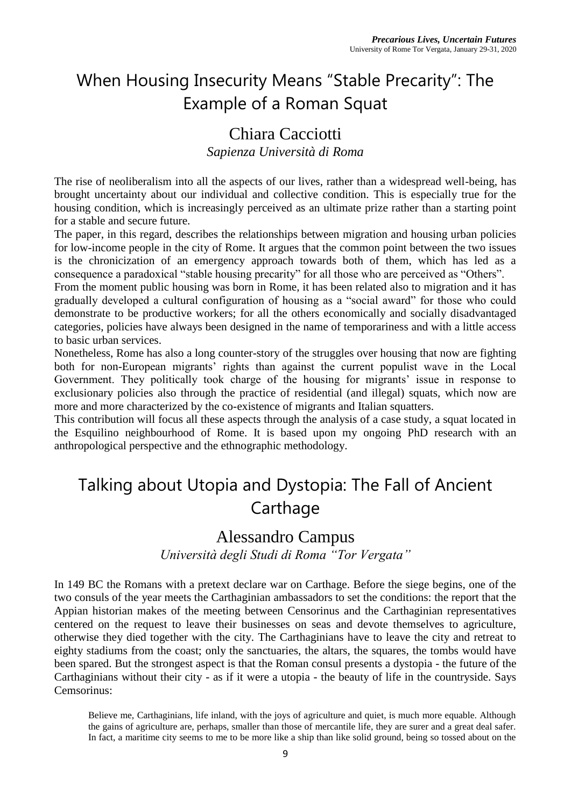# When Housing Insecurity Means "Stable Precarity": The Example of a Roman Squat

### Chiara Cacciotti

*Sapienza Università di Roma*

The rise of neoliberalism into all the aspects of our lives, rather than a widespread well-being, has brought uncertainty about our individual and collective condition. This is especially true for the housing condition, which is increasingly perceived as an ultimate prize rather than a starting point for a stable and secure future.

The paper, in this regard, describes the relationships between migration and housing urban policies for low-income people in the city of Rome. It argues that the common point between the two issues is the chronicization of an emergency approach towards both of them, which has led as a consequence a paradoxical "stable housing precarity" for all those who are perceived as "Others".

From the moment public housing was born in Rome, it has been related also to migration and it has gradually developed a cultural configuration of housing as a "social award" for those who could demonstrate to be productive workers; for all the others economically and socially disadvantaged categories, policies have always been designed in the name of temporariness and with a little access to basic urban services.

Nonetheless, Rome has also a long counter-story of the struggles over housing that now are fighting both for non-European migrants' rights than against the current populist wave in the Local Government. They politically took charge of the housing for migrants' issue in response to exclusionary policies also through the practice of residential (and illegal) squats, which now are more and more characterized by the co-existence of migrants and Italian squatters.

This contribution will focus all these aspects through the analysis of a case study, a squat located in the Esquilino neighbourhood of Rome. It is based upon my ongoing PhD research with an anthropological perspective and the ethnographic methodology.

### Talking about Utopia and Dystopia: The Fall of Ancient Carthage

### Alessandro Campus

*Università degli Studi di Roma "Tor Vergata"*

In 149 BC the Romans with a pretext declare war on Carthage. Before the siege begins, one of the two consuls of the year meets the Carthaginian ambassadors to set the conditions: the report that the Appian historian makes of the meeting between Censorinus and the Carthaginian representatives centered on the request to leave their businesses on seas and devote themselves to agriculture, otherwise they died together with the city. The Carthaginians have to leave the city and retreat to eighty stadiums from the coast; only the sanctuaries, the altars, the squares, the tombs would have been spared. But the strongest aspect is that the Roman consul presents a dystopia - the future of the Carthaginians without their city - as if it were a utopia - the beauty of life in the countryside. Says Cemsorinus:

Believe me, Carthaginians, life inland, with the joys of agriculture and quiet, is much more equable. Although the gains of agriculture are, perhaps, smaller than those of mercantile life, they are surer and a great deal safer. In fact, a maritime city seems to me to be more like a ship than like solid ground, being so tossed about on the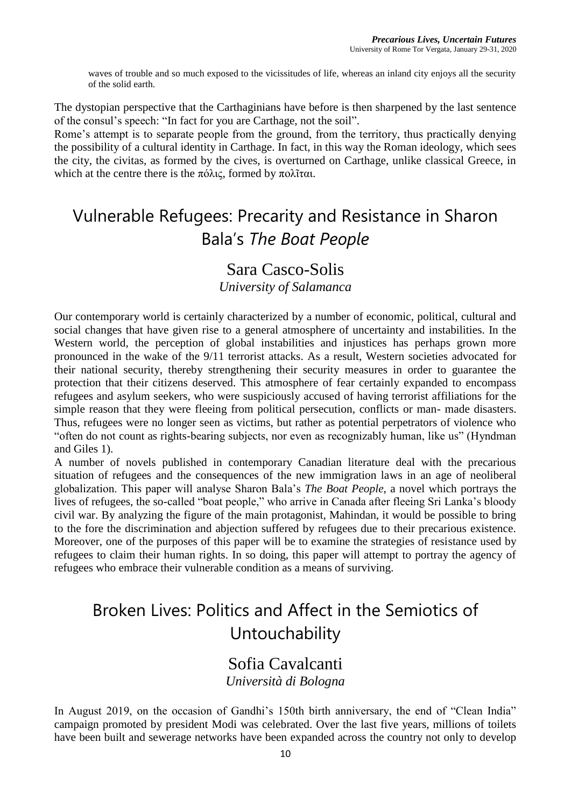waves of trouble and so much exposed to the vicissitudes of life, whereas an inland city enjoys all the security of the solid earth.

The dystopian perspective that the Carthaginians have before is then sharpened by the last sentence of the consul's speech: "In fact for you are Carthage, not the soil".

Rome's attempt is to separate people from the ground, from the territory, thus practically denying the possibility of a cultural identity in Carthage. In fact, in this way the Roman ideology, which sees the city, the civitas, as formed by the cives, is overturned on Carthage, unlike classical Greece, in which at the centre there is the πόλις, formed by πολῖται.

### Vulnerable Refugees: Precarity and Resistance in Sharon Bala's *The Boat People*

#### Sara Casco-Solis

*University of Salamanca*

Our contemporary world is certainly characterized by a number of economic, political, cultural and social changes that have given rise to a general atmosphere of uncertainty and instabilities. In the Western world, the perception of global instabilities and injustices has perhaps grown more pronounced in the wake of the 9/11 terrorist attacks. As a result, Western societies advocated for their national security, thereby strengthening their security measures in order to guarantee the protection that their citizens deserved. This atmosphere of fear certainly expanded to encompass refugees and asylum seekers, who were suspiciously accused of having terrorist affiliations for the simple reason that they were fleeing from political persecution, conflicts or man- made disasters. Thus, refugees were no longer seen as victims, but rather as potential perpetrators of violence who "often do not count as rights-bearing subjects, nor even as recognizably human, like us" (Hyndman and Giles 1).

A number of novels published in contemporary Canadian literature deal with the precarious situation of refugees and the consequences of the new immigration laws in an age of neoliberal globalization. This paper will analyse Sharon Bala's *The Boat People*, a novel which portrays the lives of refugees, the so-called "boat people," who arrive in Canada after fleeing Sri Lanka's bloody civil war. By analyzing the figure of the main protagonist, Mahindan, it would be possible to bring to the fore the discrimination and abjection suffered by refugees due to their precarious existence. Moreover, one of the purposes of this paper will be to examine the strategies of resistance used by refugees to claim their human rights. In so doing, this paper will attempt to portray the agency of refugees who embrace their vulnerable condition as a means of surviving.

# Broken Lives: Politics and Affect in the Semiotics of Untouchability

#### Sofia Cavalcanti *Università di Bologna*

In August 2019, on the occasion of Gandhi's 150th birth anniversary, the end of "Clean India" campaign promoted by president Modi was celebrated. Over the last five years, millions of toilets have been built and sewerage networks have been expanded across the country not only to develop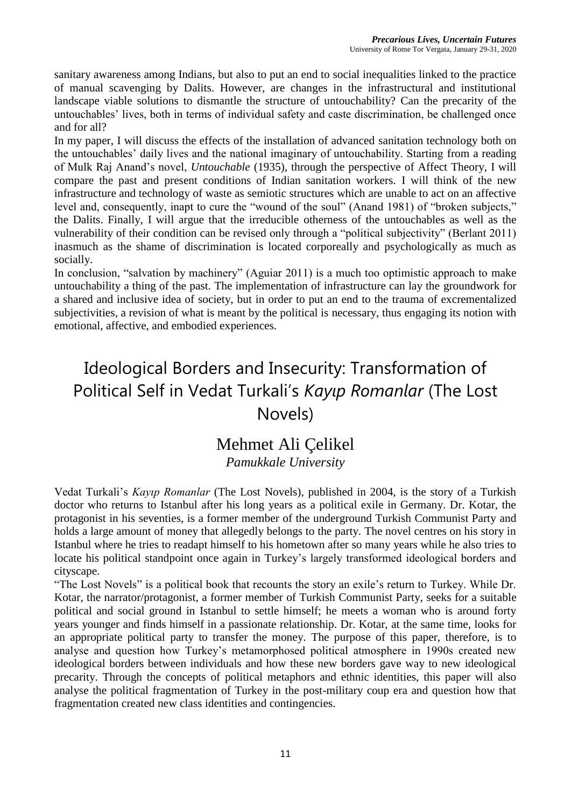sanitary awareness among Indians, but also to put an end to social inequalities linked to the practice of manual scavenging by Dalits. However, are changes in the infrastructural and institutional landscape viable solutions to dismantle the structure of untouchability? Can the precarity of the untouchables' lives, both in terms of individual safety and caste discrimination, be challenged once and for all?

In my paper, I will discuss the effects of the installation of advanced sanitation technology both on the untouchables' daily lives and the national imaginary of untouchability. Starting from a reading of Mulk Raj Anand's novel, *Untouchable* (1935), through the perspective of Affect Theory, I will compare the past and present conditions of Indian sanitation workers. I will think of the new infrastructure and technology of waste as semiotic structures which are unable to act on an affective level and, consequently, inapt to cure the "wound of the soul" (Anand 1981) of "broken subjects," the Dalits. Finally, I will argue that the irreducible otherness of the untouchables as well as the vulnerability of their condition can be revised only through a "political subjectivity" (Berlant 2011) inasmuch as the shame of discrimination is located corporeally and psychologically as much as socially.

In conclusion, "salvation by machinery" (Aguiar 2011) is a much too optimistic approach to make untouchability a thing of the past. The implementation of infrastructure can lay the groundwork for a shared and inclusive idea of society, but in order to put an end to the trauma of excrementalized subjectivities, a revision of what is meant by the political is necessary, thus engaging its notion with emotional, affective, and embodied experiences.

# Ideological Borders and Insecurity: Transformation of Political Self in Vedat Turkali's *Kayıp Romanlar* (The Lost Novels)

#### Mehmet Ali Çelikel *Pamukkale University*

Vedat Turkali's *Kayıp Romanlar* (The Lost Novels), published in 2004, is the story of a Turkish doctor who returns to Istanbul after his long years as a political exile in Germany. Dr. Kotar, the protagonist in his seventies, is a former member of the underground Turkish Communist Party and holds a large amount of money that allegedly belongs to the party. The novel centres on his story in Istanbul where he tries to readapt himself to his hometown after so many years while he also tries to locate his political standpoint once again in Turkey's largely transformed ideological borders and cityscape.

"The Lost Novels" is a political book that recounts the story an exile's return to Turkey. While Dr. Kotar, the narrator/protagonist, a former member of Turkish Communist Party, seeks for a suitable political and social ground in Istanbul to settle himself; he meets a woman who is around forty years younger and finds himself in a passionate relationship. Dr. Kotar, at the same time, looks for an appropriate political party to transfer the money. The purpose of this paper, therefore, is to analyse and question how Turkey's metamorphosed political atmosphere in 1990s created new ideological borders between individuals and how these new borders gave way to new ideological precarity. Through the concepts of political metaphors and ethnic identities, this paper will also analyse the political fragmentation of Turkey in the post-military coup era and question how that fragmentation created new class identities and contingencies.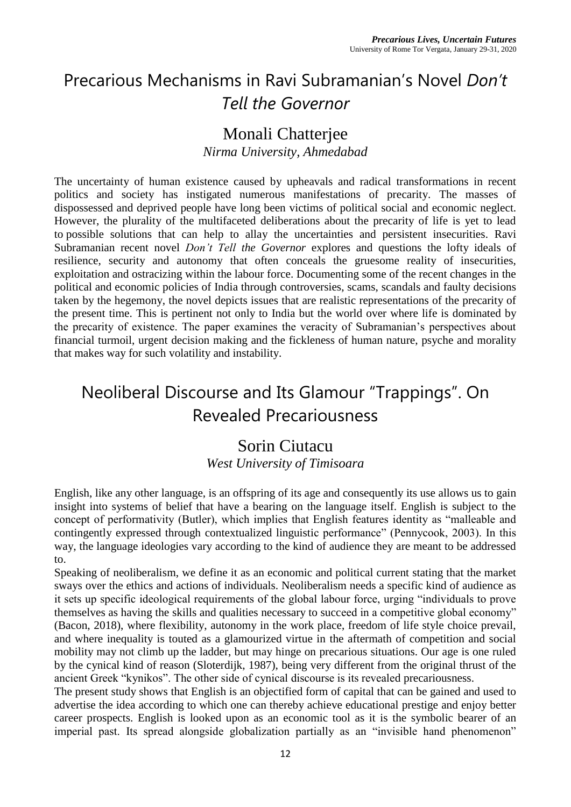# Precarious Mechanisms in Ravi Subramanian's Novel *Don't Tell the Governor*

### Monali Chatterjee

*Nirma University, Ahmedabad*

The uncertainty of human existence caused by upheavals and radical transformations in recent politics and society has instigated numerous manifestations of precarity. The masses of dispossessed and deprived people have long been victims of political social and economic neglect. However, the plurality of the multifaceted deliberations about the precarity of life is yet to lead to possible solutions that can help to allay the uncertainties and persistent insecurities. Ravi Subramanian recent novel *Don't Tell the Governor* explores and questions the lofty ideals of resilience, security and autonomy that often conceals the gruesome reality of insecurities, exploitation and ostracizing within the labour force. Documenting some of the recent changes in the political and economic policies of India through controversies, scams, scandals and faulty decisions taken by the hegemony, the novel depicts issues that are realistic representations of the precarity of the present time. This is pertinent not only to India but the world over where life is dominated by the precarity of existence. The paper examines the veracity of Subramanian's perspectives about financial turmoil, urgent decision making and the fickleness of human nature, psyche and morality that makes way for such volatility and instability.

### Neoliberal Discourse and Its Glamour "Trappings". On Revealed Precariousness

#### Sorin Ciutacu

*West University of Timisoara*

English, like any other language, is an offspring of its age and consequently its use allows us to gain insight into systems of belief that have a bearing on the language itself. English is subject to the concept of performativity (Butler), which implies that English features identity as "malleable and contingently expressed through contextualized linguistic performance" (Pennycook, 2003). In this way, the language ideologies vary according to the kind of audience they are meant to be addressed to.

Speaking of neoliberalism, we define it as an economic and political current stating that the market sways over the ethics and actions of individuals. Neoliberalism needs a specific kind of audience as it sets up specific ideological requirements of the global labour force, urging "individuals to prove themselves as having the skills and qualities necessary to succeed in a competitive global economy" (Bacon, 2018), where flexibility, autonomy in the work place, freedom of life style choice prevail, and where inequality is touted as a glamourized virtue in the aftermath of competition and social mobility may not climb up the ladder, but may hinge on precarious situations. Our age is one ruled by the cynical kind of reason (Sloterdijk, 1987), being very different from the original thrust of the ancient Greek "kynikos". The other side of cynical discourse is its revealed precariousness.

The present study shows that English is an objectified form of capital that can be gained and used to advertise the idea according to which one can thereby achieve educational prestige and enjoy better career prospects. English is looked upon as an economic tool as it is the symbolic bearer of an imperial past. Its spread alongside globalization partially as an "invisible hand phenomenon"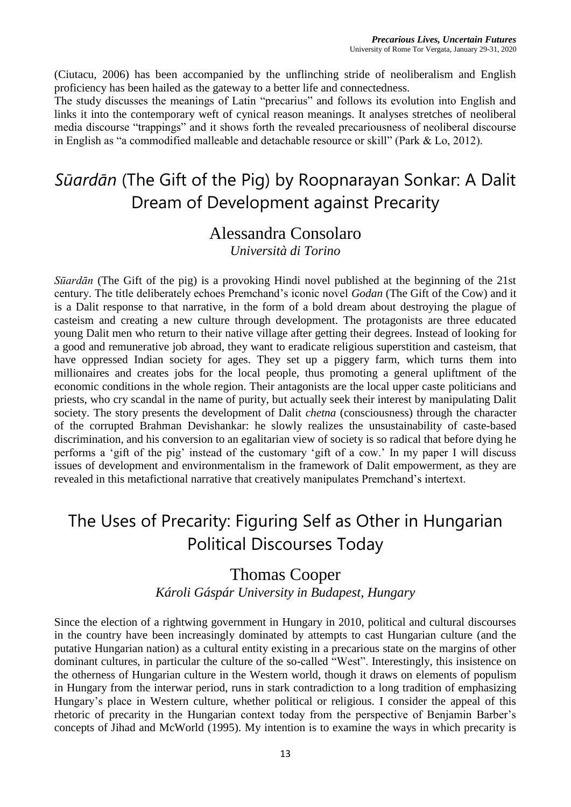(Ciutacu, 2006) has been accompanied by the unflinching stride of neoliberalism and English proficiency has been hailed as the gateway to a better life and connectedness.

The study discusses the meanings of Latin "precarius" and follows its evolution into English and links it into the contemporary weft of cynical reason meanings. It analyses stretches of neoliberal media discourse "trappings" and it shows forth the revealed precariousness of neoliberal discourse in English as "a commodified malleable and detachable resource or skill" (Park & Lo, 2012).

# *Sūardān* (The Gift of the Pig) by Roopnarayan Sonkar: A Dalit Dream of Development against Precarity

#### Alessandra Consolaro *Università di Torino*

*Sūardān* (The Gift of the pig) is a provoking Hindi novel published at the beginning of the 21st century. The title deliberately echoes Premchand's iconic novel *Godan* (The Gift of the Cow) and it is a Dalit response to that narrative, in the form of a bold dream about destroying the plague of casteism and creating a new culture through development. The protagonists are three educated young Dalit men who return to their native village after getting their degrees. Instead of looking for a good and remunerative job abroad, they want to eradicate religious superstition and casteism, that have oppressed Indian society for ages. They set up a piggery farm, which turns them into millionaires and creates jobs for the local people, thus promoting a general upliftment of the economic conditions in the whole region. Their antagonists are the local upper caste politicians and priests, who cry scandal in the name of purity, but actually seek their interest by manipulating Dalit society. The story presents the development of Dalit *chetna* (consciousness) through the character of the corrupted Brahman Devishankar: he slowly realizes the unsustainability of caste-based discrimination, and his conversion to an egalitarian view of society is so radical that before dying he performs a 'gift of the pig' instead of the customary 'gift of a cow.' In my paper I will discuss issues of development and environmentalism in the framework of Dalit empowerment, as they are revealed in this metafictional narrative that creatively manipulates Premchand's intertext.

### The Uses of Precarity: Figuring Self as Other in Hungarian Political Discourses Today

# Thomas Cooper

#### *Károli Gáspár University in Budapest, Hungary*

Since the election of a rightwing government in Hungary in 2010, political and cultural discourses in the country have been increasingly dominated by attempts to cast Hungarian culture (and the putative Hungarian nation) as a cultural entity existing in a precarious state on the margins of other dominant cultures, in particular the culture of the so-called "West". Interestingly, this insistence on the otherness of Hungarian culture in the Western world, though it draws on elements of populism in Hungary from the interwar period, runs in stark contradiction to a long tradition of emphasizing Hungary's place in Western culture, whether political or religious. I consider the appeal of this rhetoric of precarity in the Hungarian context today from the perspective of Benjamin Barber's concepts of Jihad and McWorld (1995). My intention is to examine the ways in which precarity is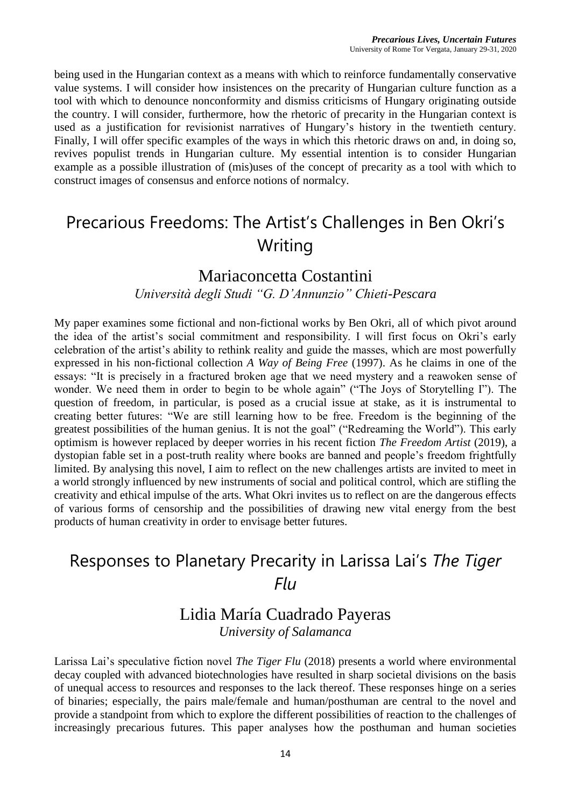being used in the Hungarian context as a means with which to reinforce fundamentally conservative value systems. I will consider how insistences on the precarity of Hungarian culture function as a tool with which to denounce nonconformity and dismiss criticisms of Hungary originating outside the country. I will consider, furthermore, how the rhetoric of precarity in the Hungarian context is used as a justification for revisionist narratives of Hungary's history in the twentieth century. Finally, I will offer specific examples of the ways in which this rhetoric draws on and, in doing so, revives populist trends in Hungarian culture. My essential intention is to consider Hungarian example as a possible illustration of (mis)uses of the concept of precarity as a tool with which to construct images of consensus and enforce notions of normalcy.

### Precarious Freedoms: The Artist's Challenges in Ben Okri's **Writing**

#### Mariaconcetta Costantini

#### *Università degli Studi "G. D'Annunzio" Chieti-Pescara*

My paper examines some fictional and non-fictional works by Ben Okri, all of which pivot around the idea of the artist's social commitment and responsibility. I will first focus on Okri's early celebration of the artist's ability to rethink reality and guide the masses, which are most powerfully expressed in his non-fictional collection *A Way of Being Free* (1997). As he claims in one of the essays: "It is precisely in a fractured broken age that we need mystery and a reawoken sense of wonder. We need them in order to begin to be whole again" ("The Joys of Storytelling I"). The question of freedom, in particular, is posed as a crucial issue at stake, as it is instrumental to creating better futures: "We are still learning how to be free. Freedom is the beginning of the greatest possibilities of the human genius. It is not the goal" ("Redreaming the World"). This early optimism is however replaced by deeper worries in his recent fiction *The Freedom Artist* (2019), a dystopian fable set in a post-truth reality where books are banned and people's freedom frightfully limited. By analysing this novel, I aim to reflect on the new challenges artists are invited to meet in a world strongly influenced by new instruments of social and political control, which are stifling the creativity and ethical impulse of the arts. What Okri invites us to reflect on are the dangerous effects of various forms of censorship and the possibilities of drawing new vital energy from the best products of human creativity in order to envisage better futures.

### Responses to Planetary Precarity in Larissa Lai's *The Tiger Flu*

#### Lidia María Cuadrado Payeras *University of Salamanca*

Larissa Lai's speculative fiction novel *The Tiger Flu* (2018) presents a world where environmental decay coupled with advanced biotechnologies have resulted in sharp societal divisions on the basis of unequal access to resources and responses to the lack thereof. These responses hinge on a series of binaries; especially, the pairs male/female and human/posthuman are central to the novel and provide a standpoint from which to explore the different possibilities of reaction to the challenges of increasingly precarious futures. This paper analyses how the posthuman and human societies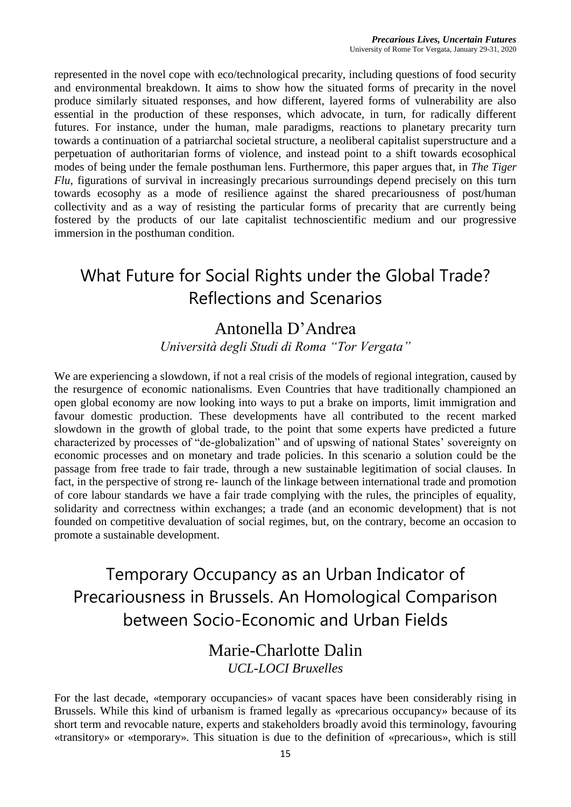represented in the novel cope with eco/technological precarity, including questions of food security and environmental breakdown. It aims to show how the situated forms of precarity in the novel produce similarly situated responses, and how different, layered forms of vulnerability are also essential in the production of these responses, which advocate, in turn, for radically different futures. For instance, under the human, male paradigms, reactions to planetary precarity turn towards a continuation of a patriarchal societal structure, a neoliberal capitalist superstructure and a perpetuation of authoritarian forms of violence, and instead point to a shift towards ecosophical modes of being under the female posthuman lens. Furthermore, this paper argues that, in *The Tiger Flu*, figurations of survival in increasingly precarious surroundings depend precisely on this turn towards ecosophy as a mode of resilience against the shared precariousness of post/human collectivity and as a way of resisting the particular forms of precarity that are currently being fostered by the products of our late capitalist technoscientific medium and our progressive immersion in the posthuman condition.

# What Future for Social Rights under the Global Trade? Reflections and Scenarios

### Antonella D'Andrea

*Università degli Studi di Roma "Tor Vergata"*

We are experiencing a slowdown, if not a real crisis of the models of regional integration, caused by the resurgence of economic nationalisms. Even Countries that have traditionally championed an open global economy are now looking into ways to put a brake on imports, limit immigration and favour domestic production. These developments have all contributed to the recent marked slowdown in the growth of global trade, to the point that some experts have predicted a future characterized by processes of "de-globalization" and of upswing of national States' sovereignty on economic processes and on monetary and trade policies. In this scenario a solution could be the passage from free trade to fair trade, through a new sustainable legitimation of social clauses. In fact, in the perspective of strong re- launch of the linkage between international trade and promotion of core labour standards we have a fair trade complying with the rules, the principles of equality, solidarity and correctness within exchanges; a trade (and an economic development) that is not founded on competitive devaluation of social regimes, but, on the contrary, become an occasion to promote a sustainable development.

Temporary Occupancy as an Urban Indicator of Precariousness in Brussels. An Homological Comparison between Socio-Economic and Urban Fields

#### Marie-Charlotte Dalin *UCL-LOCI Bruxelles*

For the last decade, «temporary occupancies» of vacant spaces have been considerably rising in Brussels. While this kind of urbanism is framed legally as «precarious occupancy» because of its short term and revocable nature, experts and stakeholders broadly avoid this terminology, favouring «transitory» or «temporary». This situation is due to the definition of «precarious», which is still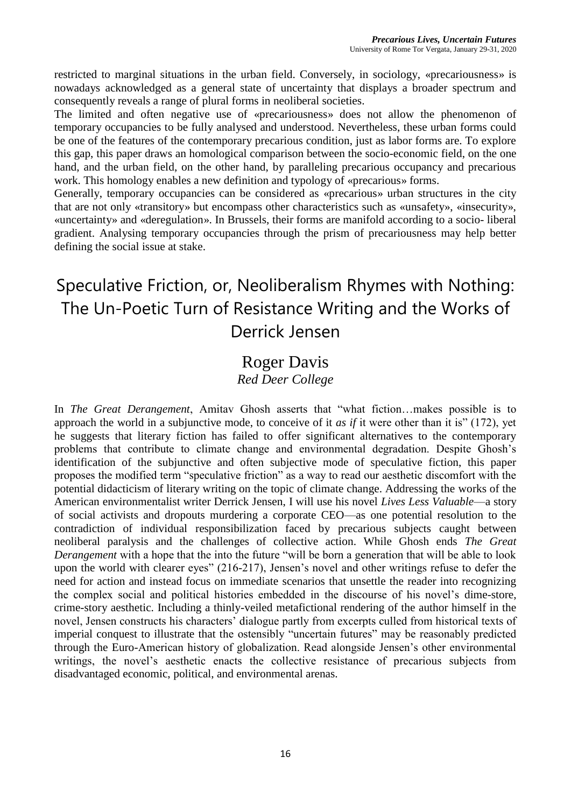restricted to marginal situations in the urban field. Conversely, in sociology, «precariousness» is nowadays acknowledged as a general state of uncertainty that displays a broader spectrum and consequently reveals a range of plural forms in neoliberal societies.

The limited and often negative use of «precariousness» does not allow the phenomenon of temporary occupancies to be fully analysed and understood. Nevertheless, these urban forms could be one of the features of the contemporary precarious condition, just as labor forms are. To explore this gap, this paper draws an homological comparison between the socio-economic field, on the one hand, and the urban field, on the other hand, by paralleling precarious occupancy and precarious work. This homology enables a new definition and typology of «precarious» forms.

Generally, temporary occupancies can be considered as «precarious» urban structures in the city that are not only «transitory» but encompass other characteristics such as «unsafety», «insecurity», «uncertainty» and «deregulation». In Brussels, their forms are manifold according to a socio- liberal gradient. Analysing temporary occupancies through the prism of precariousness may help better defining the social issue at stake.

# Speculative Friction, or, Neoliberalism Rhymes with Nothing: The Un-Poetic Turn of Resistance Writing and the Works of Derrick Jensen

# Roger Davis

#### *Red Deer College*

In *The Great Derangement*, Amitav Ghosh asserts that "what fiction…makes possible is to approach the world in a subjunctive mode, to conceive of it *as if* it were other than it is" (172), yet he suggests that literary fiction has failed to offer significant alternatives to the contemporary problems that contribute to climate change and environmental degradation. Despite Ghosh's identification of the subjunctive and often subjective mode of speculative fiction, this paper proposes the modified term "speculative friction" as a way to read our aesthetic discomfort with the potential didacticism of literary writing on the topic of climate change. Addressing the works of the American environmentalist writer Derrick Jensen, I will use his novel *Lives Less Valuable*—a story of social activists and dropouts murdering a corporate CEO—as one potential resolution to the contradiction of individual responsibilization faced by precarious subjects caught between neoliberal paralysis and the challenges of collective action. While Ghosh ends *The Great Derangement* with a hope that the into the future "will be born a generation that will be able to look upon the world with clearer eyes" (216-217), Jensen's novel and other writings refuse to defer the need for action and instead focus on immediate scenarios that unsettle the reader into recognizing the complex social and political histories embedded in the discourse of his novel's dime-store, crime-story aesthetic. Including a thinly-veiled metafictional rendering of the author himself in the novel, Jensen constructs his characters' dialogue partly from excerpts culled from historical texts of imperial conquest to illustrate that the ostensibly "uncertain futures" may be reasonably predicted through the Euro-American history of globalization. Read alongside Jensen's other environmental writings, the novel's aesthetic enacts the collective resistance of precarious subjects from disadvantaged economic, political, and environmental arenas.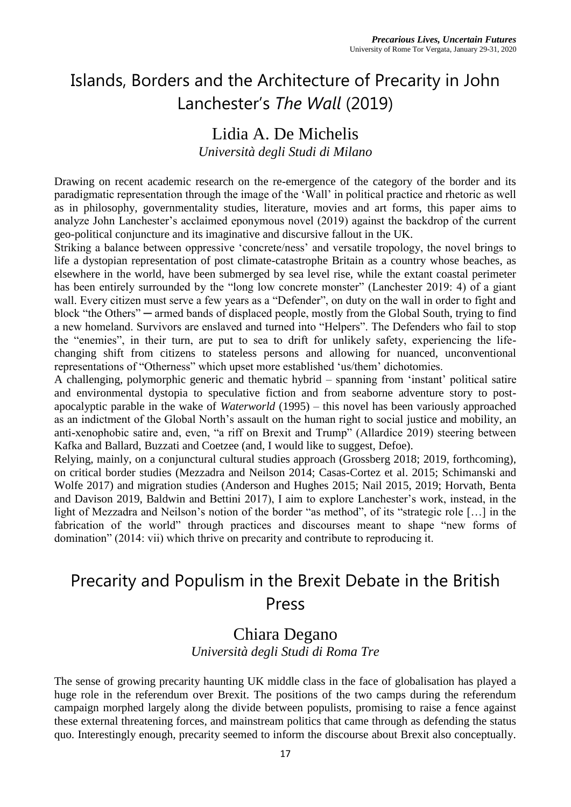### Islands, Borders and the Architecture of Precarity in John Lanchester's *The Wall* (2019)

### Lidia A. De Michelis

*Università degli Studi di Milano*

Drawing on recent academic research on the re-emergence of the category of the border and its paradigmatic representation through the image of the 'Wall' in political practice and rhetoric as well as in philosophy, governmentality studies, literature, movies and art forms, this paper aims to analyze John Lanchester's acclaimed eponymous novel (2019) against the backdrop of the current geo-political conjuncture and its imaginative and discursive fallout in the UK.

Striking a balance between oppressive 'concrete/ness' and versatile tropology, the novel brings to life a dystopian representation of post climate-catastrophe Britain as a country whose beaches, as elsewhere in the world, have been submerged by sea level rise, while the extant coastal perimeter has been entirely surrounded by the "long low concrete monster" (Lanchester 2019: 4) of a giant wall. Every citizen must serve a few years as a "Defender", on duty on the wall in order to fight and block "the Others" ─ armed bands of displaced people, mostly from the Global South, trying to find a new homeland. Survivors are enslaved and turned into "Helpers". The Defenders who fail to stop the "enemies", in their turn, are put to sea to drift for unlikely safety, experiencing the lifechanging shift from citizens to stateless persons and allowing for nuanced, unconventional representations of "Otherness" which upset more established 'us/them' dichotomies.

A challenging, polymorphic generic and thematic hybrid – spanning from 'instant' political satire and environmental dystopia to speculative fiction and from seaborne adventure story to postapocalyptic parable in the wake of *Waterworld* (1995) – this novel has been variously approached as an indictment of the Global North's assault on the human right to social justice and mobility, an anti-xenophobic satire and, even, "a riff on Brexit and Trump" (Allardice 2019) steering between Kafka and Ballard, Buzzati and Coetzee (and, I would like to suggest, Defoe).

Relying, mainly, on a conjunctural cultural studies approach (Grossberg 2018; 2019, forthcoming), on critical border studies (Mezzadra and Neilson 2014; Casas-Cortez et al. 2015; Schimanski and Wolfe 2017) and migration studies (Anderson and Hughes 2015; Nail 2015, 2019; Horvath, Benta and Davison 2019, Baldwin and Bettini 2017), I aim to explore Lanchester's work, instead, in the light of Mezzadra and Neilson's notion of the border "as method", of its "strategic role […] in the fabrication of the world" through practices and discourses meant to shape "new forms of domination" (2014: vii) which thrive on precarity and contribute to reproducing it.

### Precarity and Populism in the Brexit Debate in the British Press

#### Chiara Degano *Università degli Studi di Roma Tre*

The sense of growing precarity haunting UK middle class in the face of globalisation has played a huge role in the referendum over Brexit. The positions of the two camps during the referendum campaign morphed largely along the divide between populists, promising to raise a fence against these external threatening forces, and mainstream politics that came through as defending the status quo. Interestingly enough, precarity seemed to inform the discourse about Brexit also conceptually.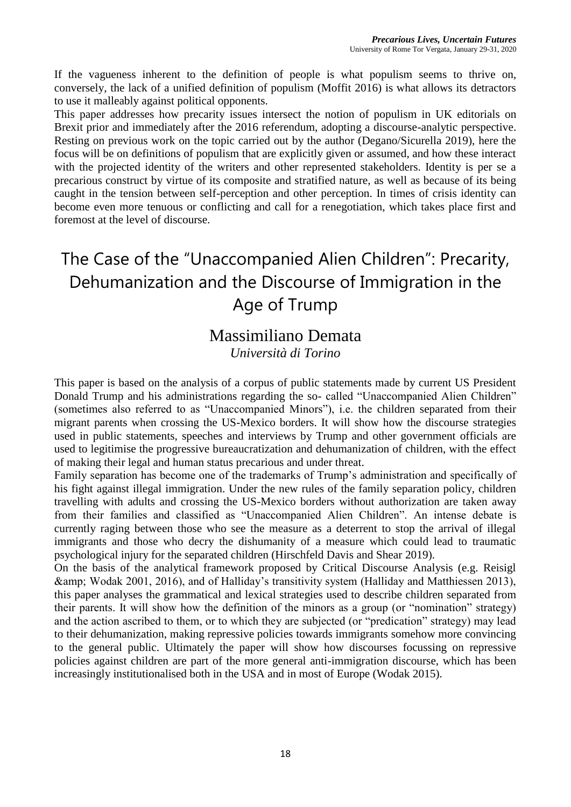If the vagueness inherent to the definition of people is what populism seems to thrive on, conversely, the lack of a unified definition of populism (Moffit 2016) is what allows its detractors to use it malleably against political opponents.

This paper addresses how precarity issues intersect the notion of populism in UK editorials on Brexit prior and immediately after the 2016 referendum, adopting a discourse-analytic perspective. Resting on previous work on the topic carried out by the author (Degano/Sicurella 2019), here the focus will be on definitions of populism that are explicitly given or assumed, and how these interact with the projected identity of the writers and other represented stakeholders. Identity is per se a precarious construct by virtue of its composite and stratified nature, as well as because of its being caught in the tension between self-perception and other perception. In times of crisis identity can become even more tenuous or conflicting and call for a renegotiation, which takes place first and foremost at the level of discourse.

# The Case of the "Unaccompanied Alien Children": Precarity, Dehumanization and the Discourse of Immigration in the Age of Trump

### Massimiliano Demata

*Università di Torino*

This paper is based on the analysis of a corpus of public statements made by current US President Donald Trump and his administrations regarding the so- called "Unaccompanied Alien Children" (sometimes also referred to as "Unaccompanied Minors"), i.e. the children separated from their migrant parents when crossing the US-Mexico borders. It will show how the discourse strategies used in public statements, speeches and interviews by Trump and other government officials are used to legitimise the progressive bureaucratization and dehumanization of children, with the effect of making their legal and human status precarious and under threat.

Family separation has become one of the trademarks of Trump's administration and specifically of his fight against illegal immigration. Under the new rules of the family separation policy, children travelling with adults and crossing the US-Mexico borders without authorization are taken away from their families and classified as "Unaccompanied Alien Children". An intense debate is currently raging between those who see the measure as a deterrent to stop the arrival of illegal immigrants and those who decry the dishumanity of a measure which could lead to traumatic psychological injury for the separated children (Hirschfeld Davis and Shear 2019).

On the basis of the analytical framework proposed by Critical Discourse Analysis (e.g. Reisigl & Wodak 2001, 2016), and of Halliday's transitivity system (Halliday and Matthiessen 2013), this paper analyses the grammatical and lexical strategies used to describe children separated from their parents. It will show how the definition of the minors as a group (or "nomination" strategy) and the action ascribed to them, or to which they are subjected (or "predication" strategy) may lead to their dehumanization, making repressive policies towards immigrants somehow more convincing to the general public. Ultimately the paper will show how discourses focussing on repressive policies against children are part of the more general anti-immigration discourse, which has been increasingly institutionalised both in the USA and in most of Europe (Wodak 2015).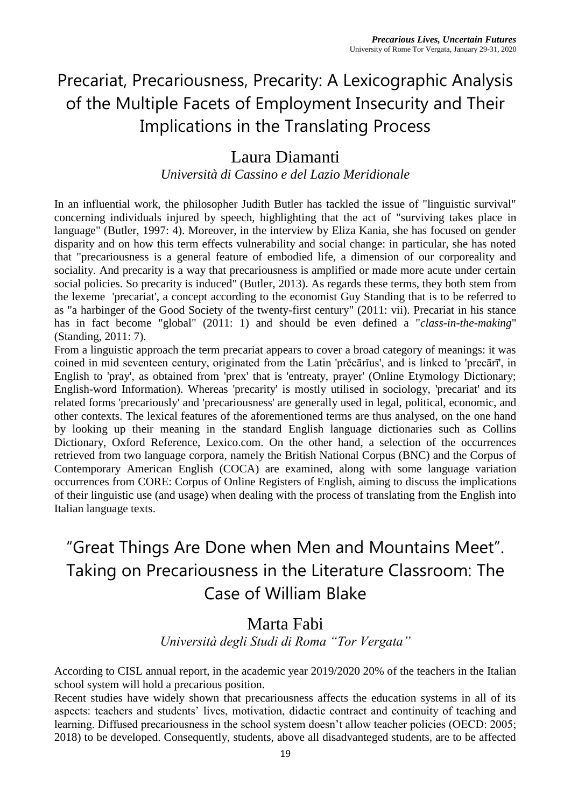# Precariat, Precariousness, Precarity: A Lexicographic Analysis of the Multiple Facets of Employment Insecurity and Their Implications in the Translating Process

### Laura Diamanti

*Università di Cassino e del Lazio Meridionale*

In an influential work, the philosopher Judith Butler has tackled the issue of "linguistic survival" concerning individuals injured by speech, highlighting that the act of "surviving takes place in language" (Butler, 1997: 4). Moreover, in the interview by Eliza Kania, she has focused on gender disparity and on how this term effects vulnerability and social change: in particular, she has noted that "precariousness is a general feature of embodied life, a dimension of our corporeality and sociality. And precarity is a way that precariousness is amplified or made more acute under certain social policies. So precarity is induced" (Butler, 2013). As regards these terms, they both stem from the lexeme 'precariat', a concept according to the economist Guy Standing that is to be referred to as "a harbinger of the Good Society of the twenty-first century" (2011: vii). Precariat in his stance has in fact become "global" (2011: 1) and should be even defined a "*class-in-the-making*" (Standing, 2011: 7).

From a linguistic approach the term precariat appears to cover a broad category of meanings: it was coined in mid seventeen century, originated from the Latin 'prěcārĭus', and is linked to 'precārī', in English to 'pray', as obtained from 'prex' that is 'entreaty, prayer' (Online Etymology Dictionary; English-word Information). Whereas 'precarity' is mostly utilised in sociology, 'precariat' and its related forms 'precariously' and 'precariousness' are generally used in legal, political, economic, and other contexts. The lexical features of the aforementioned terms are thus analysed, on the one hand by looking up their meaning in the standard English language dictionaries such as Collins Dictionary, Oxford Reference, Lexico.com. On the other hand, a selection of the occurrences retrieved from two language corpora, namely the British National Corpus (BNC) and the Corpus of Contemporary American English (COCA) are examined, along with some language variation occurrences from CORE: Corpus of Online Registers of English, aiming to discuss the implications of their linguistic use (and usage) when dealing with the process of translating from the English into Italian language texts.

# "Great Things Are Done when Men and Mountains Meet". Taking on Precariousness in the Literature Classroom: The Case of William Blake

### Marta Fabi

*Università degli Studi di Roma "Tor Vergata"*

According to CISL annual report, in the academic year 2019/2020 20% of the teachers in the Italian school system will hold a precarious position.

Recent studies have widely shown that precariousness affects the education systems in all of its aspects: teachers and students' lives, motivation, didactic contract and continuity of teaching and learning. Diffused precariousness in the school system doesn't allow teacher policies (OECD: 2005; 2018) to be developed. Consequently, students, above all disadvanteged students, are to be affected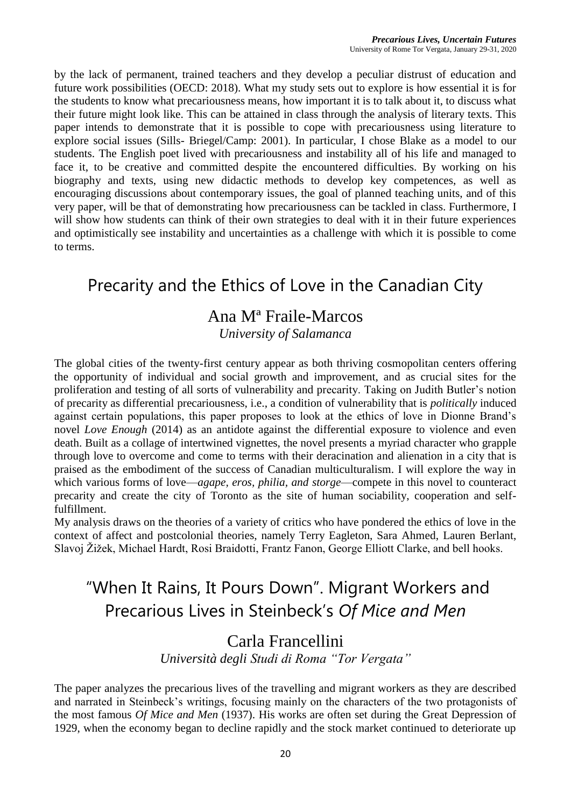by the lack of permanent, trained teachers and they develop a peculiar distrust of education and future work possibilities (OECD: 2018). What my study sets out to explore is how essential it is for the students to know what precariousness means, how important it is to talk about it, to discuss what their future might look like. This can be attained in class through the analysis of literary texts. This paper intends to demonstrate that it is possible to cope with precariousness using literature to explore social issues (Sills- Briegel/Camp: 2001). In particular, I chose Blake as a model to our students. The English poet lived with precariousness and instability all of his life and managed to face it, to be creative and committed despite the encountered difficulties. By working on his biography and texts, using new didactic methods to develop key competences, as well as encouraging discussions about contemporary issues, the goal of planned teaching units, and of this very paper, will be that of demonstrating how precariousness can be tackled in class. Furthermore, I will show how students can think of their own strategies to deal with it in their future experiences and optimistically see instability and uncertainties as a challenge with which it is possible to come to terms.

### Precarity and the Ethics of Love in the Canadian City

### Ana Mª Fraile-Marcos

*University of Salamanca*

The global cities of the twenty-first century appear as both thriving cosmopolitan centers offering the opportunity of individual and social growth and improvement, and as crucial sites for the proliferation and testing of all sorts of vulnerability and precarity. Taking on Judith Butler's notion of precarity as differential precariousness, i.e., a condition of vulnerability that is *politically* induced against certain populations, this paper proposes to look at the ethics of love in Dionne Brand's novel *Love Enough* (2014) as an antidote against the differential exposure to violence and even death. Built as a collage of intertwined vignettes, the novel presents a myriad character who grapple through love to overcome and come to terms with their deracination and alienation in a city that is praised as the embodiment of the success of Canadian multiculturalism. I will explore the way in which various forms of love—*agape, eros, philia, and storge*—compete in this novel to counteract precarity and create the city of Toronto as the site of human sociability, cooperation and selffulfillment.

My analysis draws on the theories of a variety of critics who have pondered the ethics of love in the context of affect and postcolonial theories, namely Terry Eagleton, Sara Ahmed, Lauren Berlant, Slavoj Žižek, Michael Hardt, Rosi Braidotti, Frantz Fanon, George Elliott Clarke, and bell hooks.

### "When It Rains, It Pours Down". Migrant Workers and Precarious Lives in Steinbeck's *Of Mice and Men*

### Carla Francellini

*Università degli Studi di Roma "Tor Vergata"*

The paper analyzes the precarious lives of the travelling and migrant workers as they are described and narrated in Steinbeck's writings, focusing mainly on the characters of the two protagonists of the most famous *Of Mice and Men* (1937). His works are often set during the Great Depression of 1929, when the economy began to decline rapidly and the stock market continued to deteriorate up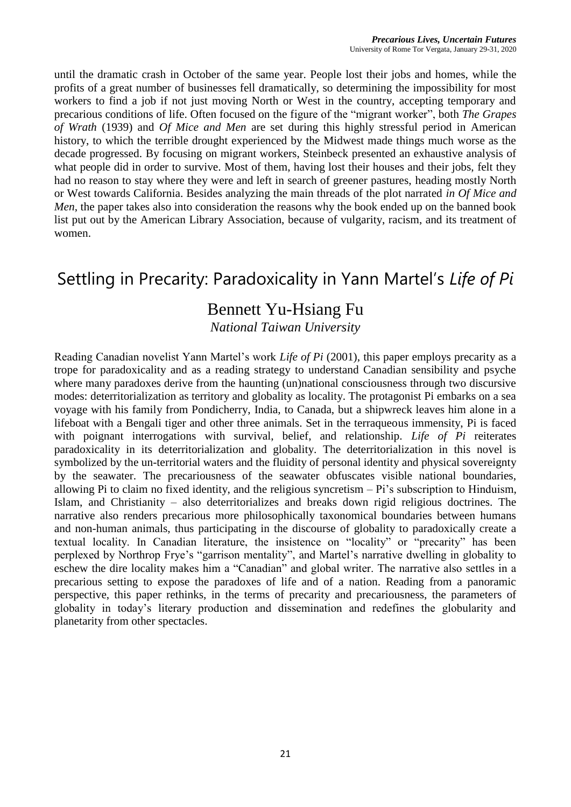until the dramatic crash in October of the same year. People lost their jobs and homes, while the profits of a great number of businesses fell dramatically, so determining the impossibility for most workers to find a job if not just moving North or West in the country, accepting temporary and precarious conditions of life. Often focused on the figure of the "migrant worker", both *The Grapes of Wrath* (1939) and *Of Mice and Men* are set during this highly stressful period in American history, to which the terrible drought experienced by the Midwest made things much worse as the decade progressed. By focusing on migrant workers, Steinbeck presented an exhaustive analysis of what people did in order to survive. Most of them, having lost their houses and their jobs, felt they had no reason to stay where they were and left in search of greener pastures, heading mostly North or West towards California. Besides analyzing the main threads of the plot narrated *in Of Mice and Men*, the paper takes also into consideration the reasons why the book ended up on the banned book list put out by the American Library Association, because of vulgarity, racism, and its treatment of women.

### Settling in Precarity: Paradoxicality in Yann Martel's *Life of Pi*

### Bennett Yu-Hsiang Fu

*National Taiwan University*

Reading Canadian novelist Yann Martel's work *Life of Pi* (2001), this paper employs precarity as a trope for paradoxicality and as a reading strategy to understand Canadian sensibility and psyche where many paradoxes derive from the haunting (un)national consciousness through two discursive modes: deterritorialization as territory and globality as locality. The protagonist Pi embarks on a sea voyage with his family from Pondicherry, India, to Canada, but a shipwreck leaves him alone in a lifeboat with a Bengali tiger and other three animals. Set in the terraqueous immensity, Pi is faced with poignant interrogations with survival, belief, and relationship. *Life of Pi* reiterates paradoxicality in its deterritorialization and globality. The deterritorialization in this novel is symbolized by the un-territorial waters and the fluidity of personal identity and physical sovereignty by the seawater. The precariousness of the seawater obfuscates visible national boundaries, allowing Pi to claim no fixed identity, and the religious syncretism – Pi's subscription to Hinduism, Islam, and Christianity – also deterritorializes and breaks down rigid religious doctrines. The narrative also renders precarious more philosophically taxonomical boundaries between humans and non-human animals, thus participating in the discourse of globality to paradoxically create a textual locality. In Canadian literature, the insistence on "locality" or "precarity" has been perplexed by Northrop Frye's "garrison mentality", and Martel's narrative dwelling in globality to eschew the dire locality makes him a "Canadian" and global writer. The narrative also settles in a precarious setting to expose the paradoxes of life and of a nation. Reading from a panoramic perspective, this paper rethinks, in the terms of precarity and precariousness, the parameters of globality in today's literary production and dissemination and redefines the globularity and planetarity from other spectacles.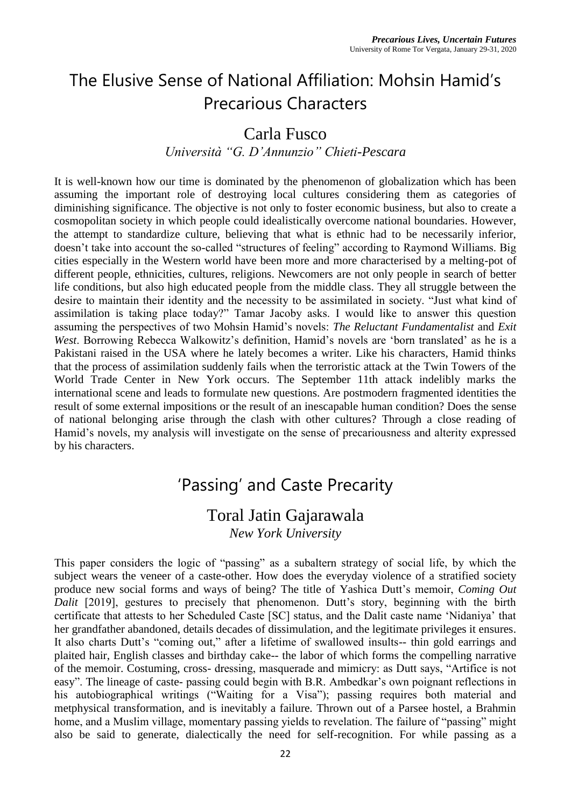# The Elusive Sense of National Affiliation: Mohsin Hamid's Precarious Characters

### Carla Fusco

#### *Università "G. D'Annunzio" Chieti-Pescara*

It is well-known how our time is dominated by the phenomenon of globalization which has been assuming the important role of destroying local cultures considering them as categories of diminishing significance. The objective is not only to foster economic business, but also to create a cosmopolitan society in which people could idealistically overcome national boundaries. However, the attempt to standardize culture, believing that what is ethnic had to be necessarily inferior, doesn't take into account the so-called "structures of feeling" according to Raymond Williams. Big cities especially in the Western world have been more and more characterised by a melting-pot of different people, ethnicities, cultures, religions. Newcomers are not only people in search of better life conditions, but also high educated people from the middle class. They all struggle between the desire to maintain their identity and the necessity to be assimilated in society. "Just what kind of assimilation is taking place today?" Tamar Jacoby asks. I would like to answer this question assuming the perspectives of two Mohsin Hamid's novels: *The Reluctant Fundamentalist* and *Exit West*. Borrowing Rebecca Walkowitz's definition, Hamid's novels are 'born translated' as he is a Pakistani raised in the USA where he lately becomes a writer. Like his characters, Hamid thinks that the process of assimilation suddenly fails when the terroristic attack at the Twin Towers of the World Trade Center in New York occurs. The September 11th attack indelibly marks the international scene and leads to formulate new questions. Are postmodern fragmented identities the result of some external impositions or the result of an inescapable human condition? Does the sense of national belonging arise through the clash with other cultures? Through a close reading of Hamid's novels, my analysis will investigate on the sense of precariousness and alterity expressed by his characters.

### 'Passing' and Caste Precarity

### Toral Jatin Gajarawala

*New York University*

This paper considers the logic of "passing" as a subaltern strategy of social life, by which the subject wears the veneer of a caste-other. How does the everyday violence of a stratified society produce new social forms and ways of being? The title of Yashica Dutt's memoir, *Coming Out Dalit* [2019], gestures to precisely that phenomenon. Dutt's story, beginning with the birth certificate that attests to her Scheduled Caste [SC] status, and the Dalit caste name 'Nidaniya' that her grandfather abandoned, details decades of dissimulation, and the legitimate privileges it ensures. It also charts Dutt's "coming out," after a lifetime of swallowed insults-- thin gold earrings and plaited hair, English classes and birthday cake-- the labor of which forms the compelling narrative of the memoir. Costuming, cross- dressing, masquerade and mimicry: as Dutt says, "Artifice is not easy". The lineage of caste- passing could begin with B.R. Ambedkar's own poignant reflections in his autobiographical writings ("Waiting for a Visa"); passing requires both material and metphysical transformation, and is inevitably a failure. Thrown out of a Parsee hostel, a Brahmin home, and a Muslim village, momentary passing yields to revelation. The failure of "passing" might also be said to generate, dialectically the need for self-recognition. For while passing as a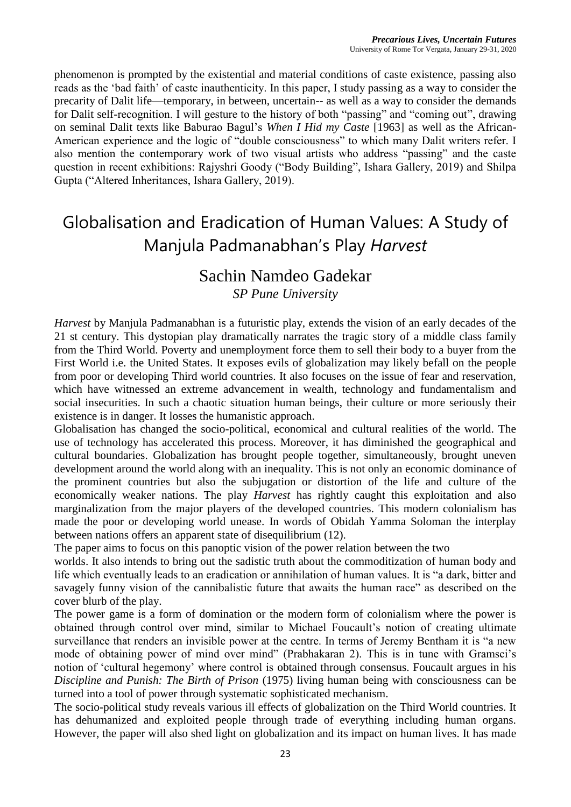phenomenon is prompted by the existential and material conditions of caste existence, passing also reads as the 'bad faith' of caste inauthenticity. In this paper, I study passing as a way to consider the precarity of Dalit life—temporary, in between, uncertain-- as well as a way to consider the demands for Dalit self-recognition. I will gesture to the history of both "passing" and "coming out", drawing on seminal Dalit texts like Baburao Bagul's *When I Hid my Caste* [1963] as well as the African-American experience and the logic of "double consciousness" to which many Dalit writers refer. I also mention the contemporary work of two visual artists who address "passing" and the caste question in recent exhibitions: Rajyshri Goody ("Body Building", Ishara Gallery, 2019) and Shilpa Gupta ("Altered Inheritances, Ishara Gallery, 2019).

# Globalisation and Eradication of Human Values: A Study of Manjula Padmanabhan's Play *Harvest*

### Sachin Namdeo Gadekar

*SP Pune University*

*Harvest* by Manjula Padmanabhan is a futuristic play, extends the vision of an early decades of the 21 st century. This dystopian play dramatically narrates the tragic story of a middle class family from the Third World. Poverty and unemployment force them to sell their body to a buyer from the First World i.e. the United States. It exposes evils of globalization may likely befall on the people from poor or developing Third world countries. It also focuses on the issue of fear and reservation, which have witnessed an extreme advancement in wealth, technology and fundamentalism and social insecurities. In such a chaotic situation human beings, their culture or more seriously their existence is in danger. It losses the humanistic approach.

Globalisation has changed the socio-political, economical and cultural realities of the world. The use of technology has accelerated this process. Moreover, it has diminished the geographical and cultural boundaries. Globalization has brought people together, simultaneously, brought uneven development around the world along with an inequality. This is not only an economic dominance of the prominent countries but also the subjugation or distortion of the life and culture of the economically weaker nations. The play *Harvest* has rightly caught this exploitation and also marginalization from the major players of the developed countries. This modern colonialism has made the poor or developing world unease. In words of Obidah Yamma Soloman the interplay between nations offers an apparent state of disequilibrium (12).

The paper aims to focus on this panoptic vision of the power relation between the two

worlds. It also intends to bring out the sadistic truth about the commoditization of human body and life which eventually leads to an eradication or annihilation of human values. It is "a dark, bitter and savagely funny vision of the cannibalistic future that awaits the human race" as described on the cover blurb of the play.

The power game is a form of domination or the modern form of colonialism where the power is obtained through control over mind, similar to Michael Foucault's notion of creating ultimate surveillance that renders an invisible power at the centre. In terms of Jeremy Bentham it is "a new mode of obtaining power of mind over mind" (Prabhakaran 2). This is in tune with Gramsci's notion of 'cultural hegemony' where control is obtained through consensus. Foucault argues in his *Discipline and Punish: The Birth of Prison* (1975) living human being with consciousness can be turned into a tool of power through systematic sophisticated mechanism.

The socio-political study reveals various ill effects of globalization on the Third World countries. It has dehumanized and exploited people through trade of everything including human organs. However, the paper will also shed light on globalization and its impact on human lives. It has made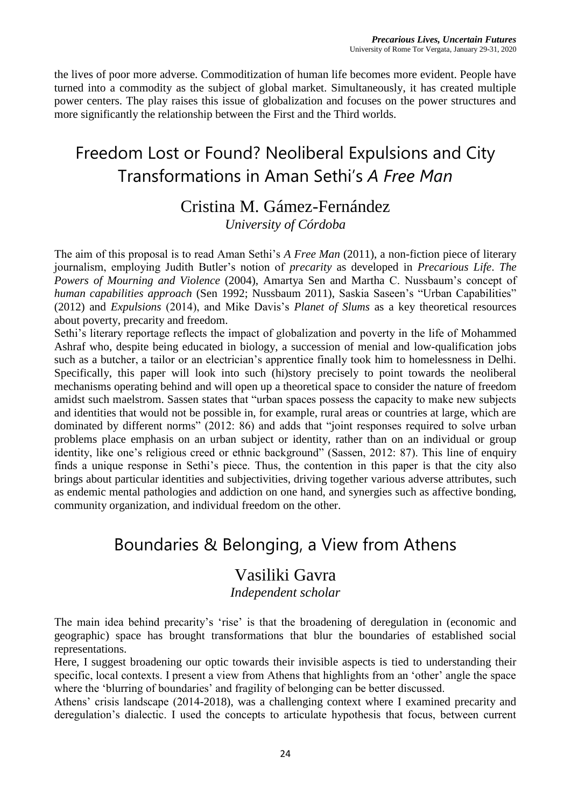the lives of poor more adverse. Commoditization of human life becomes more evident. People have turned into a commodity as the subject of global market. Simultaneously, it has created multiple power centers. The play raises this issue of globalization and focuses on the power structures and more significantly the relationship between the First and the Third worlds.

### Freedom Lost or Found? Neoliberal Expulsions and City Transformations in Aman Sethi's *A Free Man*

#### Cristina M. Gámez-Fernández *University of Córdoba*

The aim of this proposal is to read Aman Sethi's *A Free Man* (2011), a non-fiction piece of literary journalism, employing Judith Butler's notion of *precarity* as developed in *Precarious Life*. *The Powers of Mourning and Violence* (2004), Amartya Sen and Martha C. Nussbaum's concept of *human capabilities approach* (Sen 1992; Nussbaum 2011), Saskia Saseen's "Urban Capabilities" (2012) and *Expulsions* (2014), and Mike Davis's *Planet of Slums* as a key theoretical resources about poverty, precarity and freedom.

Sethi's literary reportage reflects the impact of globalization and poverty in the life of Mohammed Ashraf who, despite being educated in biology, a succession of menial and low-qualification jobs such as a butcher, a tailor or an electrician's apprentice finally took him to homelessness in Delhi. Specifically, this paper will look into such (hi)story precisely to point towards the neoliberal mechanisms operating behind and will open up a theoretical space to consider the nature of freedom amidst such maelstrom. Sassen states that "urban spaces possess the capacity to make new subjects and identities that would not be possible in, for example, rural areas or countries at large, which are dominated by different norms" (2012: 86) and adds that "joint responses required to solve urban problems place emphasis on an urban subject or identity, rather than on an individual or group identity, like one's religious creed or ethnic background" (Sassen, 2012: 87). This line of enquiry finds a unique response in Sethi's piece. Thus, the contention in this paper is that the city also brings about particular identities and subjectivities, driving together various adverse attributes, such as endemic mental pathologies and addiction on one hand, and synergies such as affective bonding, community organization, and individual freedom on the other.

### Boundaries & Belonging, a View from Athens

#### Vasiliki Gavra

*Independent scholar*

The main idea behind precarity's 'rise' is that the broadening of deregulation in (economic and geographic) space has brought transformations that blur the boundaries of established social representations.

Here, I suggest broadening our optic towards their invisible aspects is tied to understanding their specific, local contexts. I present a view from Athens that highlights from an 'other' angle the space where the 'blurring of boundaries' and fragility of belonging can be better discussed.

Athens' crisis landscape (2014-2018), was a challenging context where I examined precarity and deregulation's dialectic. I used the concepts to articulate hypothesis that focus, between current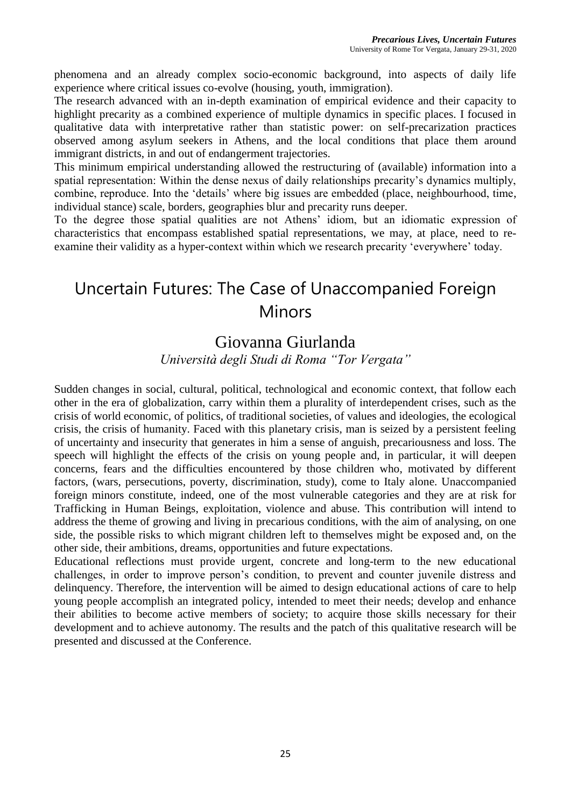phenomena and an already complex socio-economic background, into aspects of daily life experience where critical issues co-evolve (housing, youth, immigration).

The research advanced with an in-depth examination of empirical evidence and their capacity to highlight precarity as a combined experience of multiple dynamics in specific places. I focused in qualitative data with interpretative rather than statistic power: on self-precarization practices observed among asylum seekers in Athens, and the local conditions that place them around immigrant districts, in and out of endangerment trajectories.

This minimum empirical understanding allowed the restructuring of (available) information into a spatial representation: Within the dense nexus of daily relationships precarity's dynamics multiply, combine, reproduce. Into the 'details' where big issues are embedded (place, neighbourhood, time, individual stance) scale, borders, geographies blur and precarity runs deeper.

To the degree those spatial qualities are not Athens' idiom, but an idiomatic expression of characteristics that encompass established spatial representations, we may, at place, need to reexamine their validity as a hyper-context within which we research precarity 'everywhere' today.

### Uncertain Futures: The Case of Unaccompanied Foreign Minors

### Giovanna Giurlanda

*Università degli Studi di Roma "Tor Vergata"*

Sudden changes in social, cultural, political, technological and economic context, that follow each other in the era of globalization, carry within them a plurality of interdependent crises, such as the crisis of world economic, of politics, of traditional societies, of values and ideologies, the ecological crisis, the crisis of humanity. Faced with this planetary crisis, man is seized by a persistent feeling of uncertainty and insecurity that generates in him a sense of anguish, precariousness and loss. The speech will highlight the effects of the crisis on young people and, in particular, it will deepen concerns, fears and the difficulties encountered by those children who, motivated by different factors, (wars, persecutions, poverty, discrimination, study), come to Italy alone. Unaccompanied foreign minors constitute, indeed, one of the most vulnerable categories and they are at risk for Trafficking in Human Beings, exploitation, violence and abuse. This contribution will intend to address the theme of growing and living in precarious conditions, with the aim of analysing, on one side, the possible risks to which migrant children left to themselves might be exposed and, on the other side, their ambitions, dreams, opportunities and future expectations.

Educational reflections must provide urgent, concrete and long-term to the new educational challenges, in order to improve person's condition, to prevent and counter juvenile distress and delinquency. Therefore, the intervention will be aimed to design educational actions of care to help young people accomplish an integrated policy, intended to meet their needs; develop and enhance their abilities to become active members of society; to acquire those skills necessary for their development and to achieve autonomy. The results and the patch of this qualitative research will be presented and discussed at the Conference.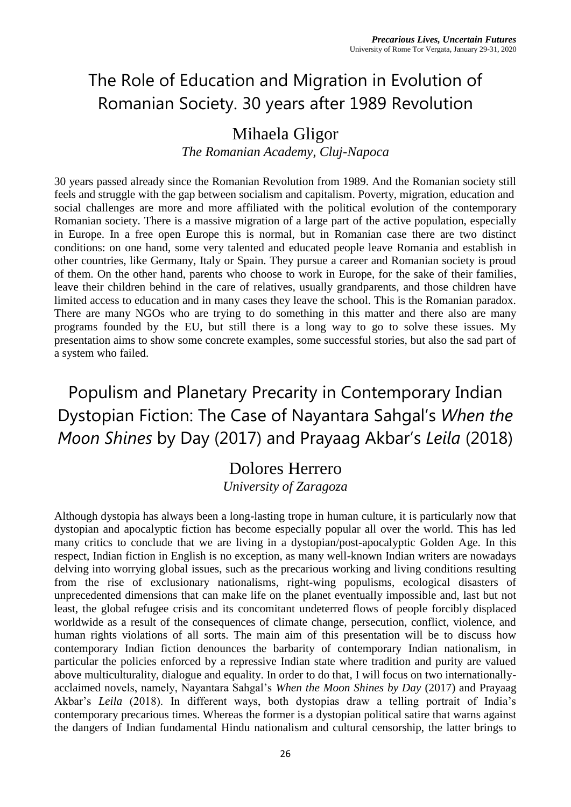# The Role of Education and Migration in Evolution of Romanian Society. 30 years after 1989 Revolution

### Mihaela Gligor

*The Romanian Academy, Cluj-Napoca*

30 years passed already since the Romanian Revolution from 1989. And the Romanian society still feels and struggle with the gap between socialism and capitalism. Poverty, migration, education and social challenges are more and more affiliated with the political evolution of the contemporary Romanian society. There is a massive migration of a large part of the active population, especially in Europe. In a free open Europe this is normal, but in Romanian case there are two distinct conditions: on one hand, some very talented and educated people leave Romania and establish in other countries, like Germany, Italy or Spain. They pursue a career and Romanian society is proud of them. On the other hand, parents who choose to work in Europe, for the sake of their families, leave their children behind in the care of relatives, usually grandparents, and those children have limited access to education and in many cases they leave the school. This is the Romanian paradox. There are many NGOs who are trying to do something in this matter and there also are many programs founded by the EU, but still there is a long way to go to solve these issues. My presentation aims to show some concrete examples, some successful stories, but also the sad part of a system who failed.

Populism and Planetary Precarity in Contemporary Indian Dystopian Fiction: The Case of Nayantara Sahgal's *When the Moon Shines* by Day (2017) and Prayaag Akbar's *Leila* (2018)

# Dolores Herrero

*University of Zaragoza*

Although dystopia has always been a long-lasting trope in human culture, it is particularly now that dystopian and apocalyptic fiction has become especially popular all over the world. This has led many critics to conclude that we are living in a dystopian/post-apocalyptic Golden Age. In this respect, Indian fiction in English is no exception, as many well-known Indian writers are nowadays delving into worrying global issues, such as the precarious working and living conditions resulting from the rise of exclusionary nationalisms, right-wing populisms, ecological disasters of unprecedented dimensions that can make life on the planet eventually impossible and, last but not least, the global refugee crisis and its concomitant undeterred flows of people forcibly displaced worldwide as a result of the consequences of climate change, persecution, conflict, violence, and human rights violations of all sorts. The main aim of this presentation will be to discuss how contemporary Indian fiction denounces the barbarity of contemporary Indian nationalism, in particular the policies enforced by a repressive Indian state where tradition and purity are valued above multiculturality, dialogue and equality. In order to do that, I will focus on two internationallyacclaimed novels, namely, Nayantara Sahgal's *When the Moon Shines by Day* (2017) and Prayaag Akbar's *Leila* (2018). In different ways, both dystopias draw a telling portrait of India's contemporary precarious times. Whereas the former is a dystopian political satire that warns against the dangers of Indian fundamental Hindu nationalism and cultural censorship, the latter brings to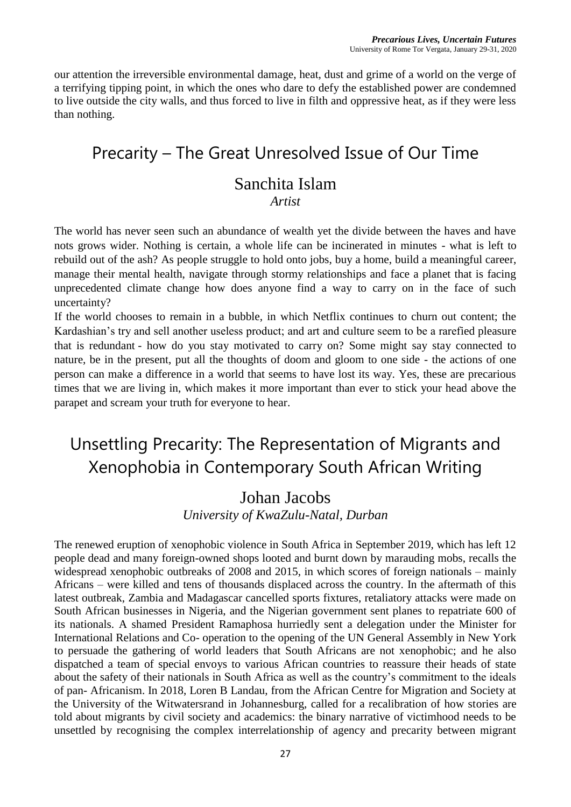our attention the irreversible environmental damage, heat, dust and grime of a world on the verge of a terrifying tipping point, in which the ones who dare to defy the established power are condemned to live outside the city walls, and thus forced to live in filth and oppressive heat, as if they were less than nothing.

### Precarity – The Great Unresolved Issue of Our Time

### Sanchita Islam

#### *Artist*

The world has never seen such an abundance of wealth yet the divide between the haves and have nots grows wider. Nothing is certain, a whole life can be incinerated in minutes - what is left to rebuild out of the ash? As people struggle to hold onto jobs, buy a home, build a meaningful career, manage their mental health, navigate through stormy relationships and face a planet that is facing unprecedented climate change how does anyone find a way to carry on in the face of such uncertainty?

If the world chooses to remain in a bubble, in which Netflix continues to churn out content; the Kardashian's try and sell another useless product; and art and culture seem to be a rarefied pleasure that is redundant - how do you stay motivated to carry on? Some might say stay connected to nature, be in the present, put all the thoughts of doom and gloom to one side - the actions of one person can make a difference in a world that seems to have lost its way. Yes, these are precarious times that we are living in, which makes it more important than ever to stick your head above the parapet and scream your truth for everyone to hear.

### Unsettling Precarity: The Representation of Migrants and Xenophobia in Contemporary South African Writing

#### Johan Jacobs

*University of KwaZulu-Natal, Durban*

The renewed eruption of xenophobic violence in South Africa in September 2019, which has left 12 people dead and many foreign-owned shops looted and burnt down by marauding mobs, recalls the widespread xenophobic outbreaks of 2008 and 2015, in which scores of foreign nationals – mainly Africans – were killed and tens of thousands displaced across the country. In the aftermath of this latest outbreak, Zambia and Madagascar cancelled sports fixtures, retaliatory attacks were made on South African businesses in Nigeria, and the Nigerian government sent planes to repatriate 600 of its nationals. A shamed President Ramaphosa hurriedly sent a delegation under the Minister for International Relations and Co- operation to the opening of the UN General Assembly in New York to persuade the gathering of world leaders that South Africans are not xenophobic; and he also dispatched a team of special envoys to various African countries to reassure their heads of state about the safety of their nationals in South Africa as well as the country's commitment to the ideals of pan- Africanism. In 2018, Loren B Landau, from the African Centre for Migration and Society at the University of the Witwatersrand in Johannesburg, called for a recalibration of how stories are told about migrants by civil society and academics: the binary narrative of victimhood needs to be unsettled by recognising the complex interrelationship of agency and precarity between migrant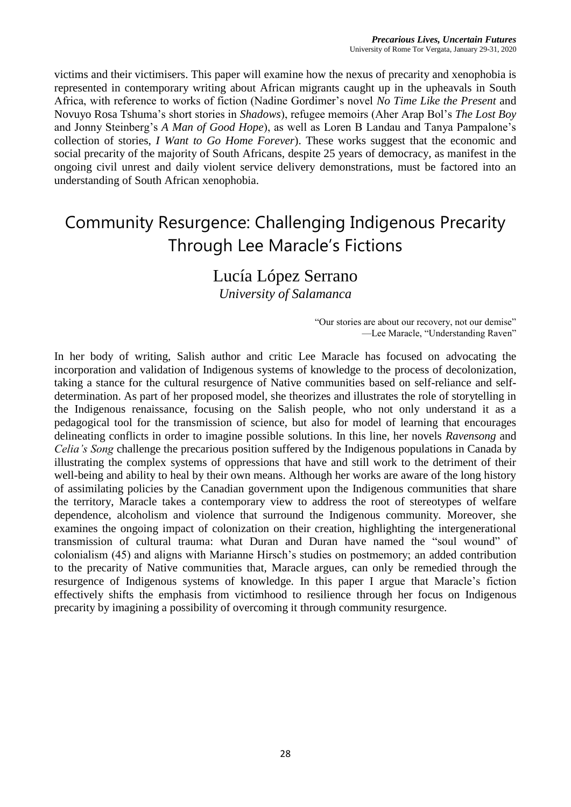victims and their victimisers. This paper will examine how the nexus of precarity and xenophobia is represented in contemporary writing about African migrants caught up in the upheavals in South Africa, with reference to works of fiction (Nadine Gordimer's novel *No Time Like the Present* and Novuyo Rosa Tshuma's short stories in *Shadows*), refugee memoirs (Aher Arap Bol's *The Lost Boy* and Jonny Steinberg's *A Man of Good Hope*), as well as Loren B Landau and Tanya Pampalone's collection of stories, *I Want to Go Home Forever*). These works suggest that the economic and social precarity of the majority of South Africans, despite 25 years of democracy, as manifest in the ongoing civil unrest and daily violent service delivery demonstrations, must be factored into an understanding of South African xenophobia.

### Community Resurgence: Challenging Indigenous Precarity Through Lee Maracle's Fictions

#### Lucía López Serrano

*University of Salamanca*

"Our stories are about our recovery, not our demise" —Lee Maracle, "Understanding Raven"

In her body of writing, Salish author and critic Lee Maracle has focused on advocating the incorporation and validation of Indigenous systems of knowledge to the process of decolonization, taking a stance for the cultural resurgence of Native communities based on self-reliance and selfdetermination. As part of her proposed model, she theorizes and illustrates the role of storytelling in the Indigenous renaissance, focusing on the Salish people, who not only understand it as a pedagogical tool for the transmission of science, but also for model of learning that encourages delineating conflicts in order to imagine possible solutions. In this line, her novels *Ravensong* and *Celia's Song* challenge the precarious position suffered by the Indigenous populations in Canada by illustrating the complex systems of oppressions that have and still work to the detriment of their well-being and ability to heal by their own means. Although her works are aware of the long history of assimilating policies by the Canadian government upon the Indigenous communities that share the territory, Maracle takes a contemporary view to address the root of stereotypes of welfare dependence, alcoholism and violence that surround the Indigenous community. Moreover, she examines the ongoing impact of colonization on their creation, highlighting the intergenerational transmission of cultural trauma: what Duran and Duran have named the "soul wound" of colonialism (45) and aligns with Marianne Hirsch's studies on postmemory; an added contribution to the precarity of Native communities that, Maracle argues, can only be remedied through the resurgence of Indigenous systems of knowledge. In this paper I argue that Maracle's fiction effectively shifts the emphasis from victimhood to resilience through her focus on Indigenous precarity by imagining a possibility of overcoming it through community resurgence.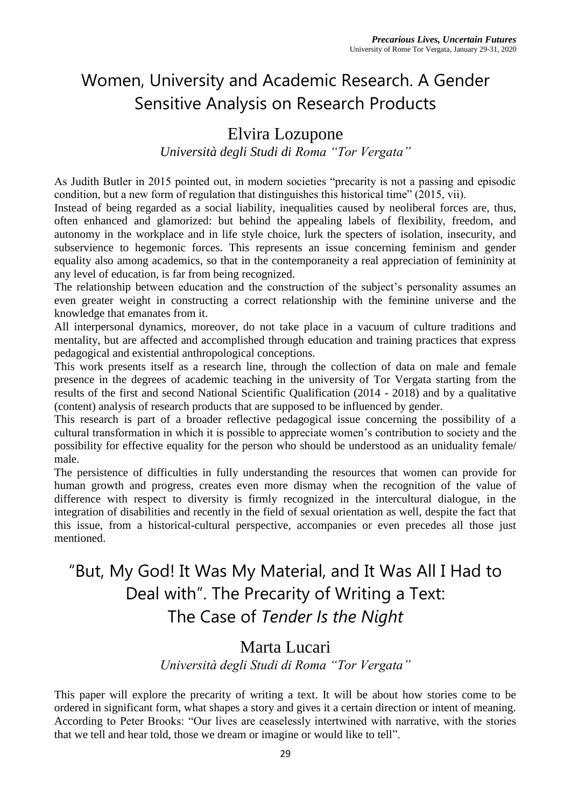# Women, University and Academic Research. A Gender Sensitive Analysis on Research Products

### Elvira Lozupone

*Università degli Studi di Roma "Tor Vergata"*

As Judith Butler in 2015 pointed out, in modern societies "precarity is not a passing and episodic condition, but a new form of regulation that distinguishes this historical time" (2015, vii).

Instead of being regarded as a social liability, inequalities caused by neoliberal forces are, thus, often enhanced and glamorized: but behind the appealing labels of flexibility, freedom, and autonomy in the workplace and in life style choice, lurk the specters of isolation, insecurity, and subservience to hegemonic forces. This represents an issue concerning feminism and gender equality also among academics, so that in the contemporaneity a real appreciation of femininity at any level of education, is far from being recognized.

The relationship between education and the construction of the subject's personality assumes an even greater weight in constructing a correct relationship with the feminine universe and the knowledge that emanates from it.

All interpersonal dynamics, moreover, do not take place in a vacuum of culture traditions and mentality, but are affected and accomplished through education and training practices that express pedagogical and existential anthropological conceptions.

This work presents itself as a research line, through the collection of data on male and female presence in the degrees of academic teaching in the university of Tor Vergata starting from the results of the first and second National Scientific Qualification (2014 - 2018) and by a qualitative (content) analysis of research products that are supposed to be influenced by gender.

This research is part of a broader reflective pedagogical issue concerning the possibility of a cultural transformation in which it is possible to appreciate women's contribution to society and the possibility for effective equality for the person who should be understood as an uniduality female/ male.

The persistence of difficulties in fully understanding the resources that women can provide for human growth and progress, creates even more dismay when the recognition of the value of difference with respect to diversity is firmly recognized in the intercultural dialogue, in the integration of disabilities and recently in the field of sexual orientation as well, despite the fact that this issue, from a historical-cultural perspective, accompanies or even precedes all those just mentioned.

# "But, My God! It Was My Material, and It Was All I Had to Deal with". The Precarity of Writing a Text: The Case of *Tender Is the Night*

#### Marta Lucari

*Università degli Studi di Roma "Tor Vergata"*

This paper will explore the precarity of writing a text. It will be about how stories come to be ordered in significant form, what shapes a story and gives it a certain direction or intent of meaning. According to Peter Brooks: "Our lives are ceaselessly intertwined with narrative, with the stories that we tell and hear told, those we dream or imagine or would like to tell".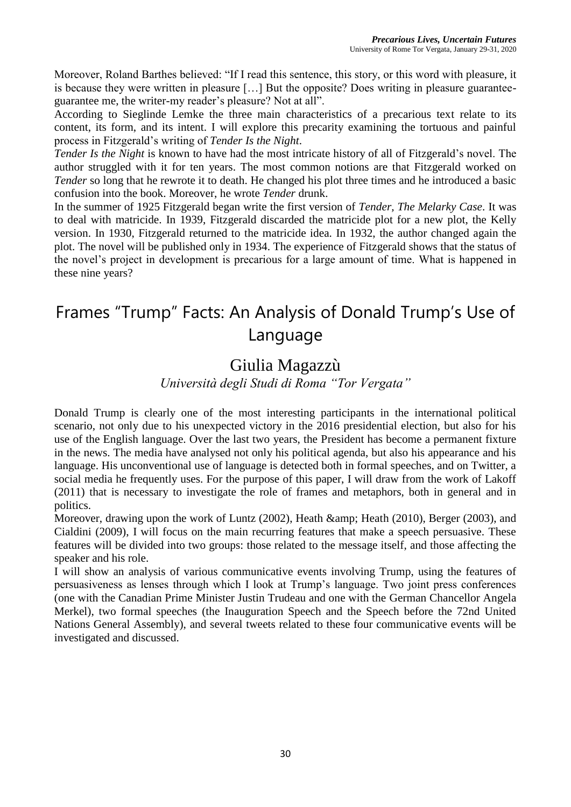Moreover, Roland Barthes believed: "If I read this sentence, this story, or this word with pleasure, it is because they were written in pleasure […] But the opposite? Does writing in pleasure guaranteeguarantee me, the writer-my reader's pleasure? Not at all".

According to Sieglinde Lemke the three main characteristics of a precarious text relate to its content, its form, and its intent. I will explore this precarity examining the tortuous and painful process in Fitzgerald's writing of *Tender Is the Night*.

*Tender Is the Night* is known to have had the most intricate history of all of Fitzgerald's novel. The author struggled with it for ten years. The most common notions are that Fitzgerald worked on *Tender* so long that he rewrote it to death. He changed his plot three times and he introduced a basic confusion into the book. Moreover, he wrote *Tender* drunk.

In the summer of 1925 Fitzgerald began write the first version of *Tender, The Melarky Case*. It was to deal with matricide. In 1939, Fitzgerald discarded the matricide plot for a new plot, the Kelly version. In 1930, Fitzgerald returned to the matricide idea. In 1932, the author changed again the plot. The novel will be published only in 1934. The experience of Fitzgerald shows that the status of the novel's project in development is precarious for a large amount of time. What is happened in these nine years?

### Frames "Trump" Facts: An Analysis of Donald Trump's Use of Language

### Giulia Magazzù

*Università degli Studi di Roma "Tor Vergata"*

Donald Trump is clearly one of the most interesting participants in the international political scenario, not only due to his unexpected victory in the 2016 presidential election, but also for his use of the English language. Over the last two years, the President has become a permanent fixture in the news. The media have analysed not only his political agenda, but also his appearance and his language. His unconventional use of language is detected both in formal speeches, and on Twitter, a social media he frequently uses. For the purpose of this paper, I will draw from the work of Lakoff (2011) that is necessary to investigate the role of frames and metaphors, both in general and in politics.

Moreover, drawing upon the work of Luntz (2002), Heath & amp; Heath (2010), Berger (2003), and Cialdini (2009), I will focus on the main recurring features that make a speech persuasive. These features will be divided into two groups: those related to the message itself, and those affecting the speaker and his role.

I will show an analysis of various communicative events involving Trump, using the features of persuasiveness as lenses through which I look at Trump's language. Two joint press conferences (one with the Canadian Prime Minister Justin Trudeau and one with the German Chancellor Angela Merkel), two formal speeches (the Inauguration Speech and the Speech before the 72nd United Nations General Assembly), and several tweets related to these four communicative events will be investigated and discussed.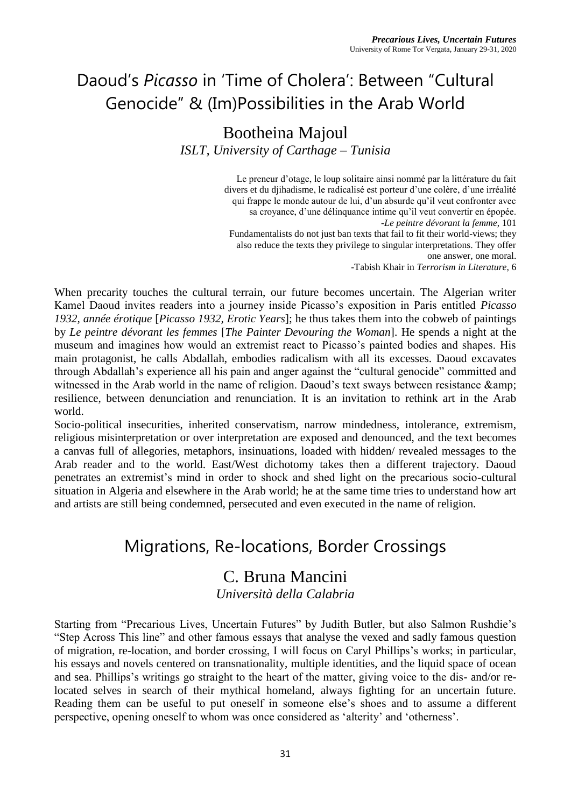# Daoud's *Picasso* in 'Time of Cholera': Between "Cultural Genocide" & (Im)Possibilities in the Arab World

#### Bootheina Majoul *ISLT, University of Carthage – Tunisia*

Le preneur d'otage, le loup solitaire ainsi nommé par la littérature du fait divers et du djihadisme, le radicalisé est porteur d'une colère, d'une irréalité qui frappe le monde autour de lui, d'un absurde qu'il veut confronter avec sa croyance, d'une délinquance intime qu'il veut convertir en épopée. *-Le peintre dévorant la femme*, 101 Fundamentalists do not just ban texts that fail to fit their world-views; they also reduce the texts they privilege to singular interpretations. They offer one answer, one moral.

-Tabish Khair in *Terrorism in Literature*, 6

When precarity touches the cultural terrain, our future becomes uncertain. The Algerian writer Kamel Daoud invites readers into a journey inside Picasso's exposition in Paris entitled *Picasso 1932, année érotique* [*Picasso 1932, Erotic Years*]; he thus takes them into the cobweb of paintings by *Le peintre dévorant les femmes* [*The Painter Devouring the Woman*]. He spends a night at the museum and imagines how would an extremist react to Picasso's painted bodies and shapes. His main protagonist, he calls Abdallah, embodies radicalism with all its excesses. Daoud excavates through Abdallah's experience all his pain and anger against the "cultural genocide" committed and witnessed in the Arab world in the name of religion. Daoud's text sways between resistance  $\&$ amp; resilience, between denunciation and renunciation. It is an invitation to rethink art in the Arab world.

Socio-political insecurities, inherited conservatism, narrow mindedness, intolerance, extremism, religious misinterpretation or over interpretation are exposed and denounced, and the text becomes a canvas full of allegories, metaphors, insinuations, loaded with hidden/ revealed messages to the Arab reader and to the world. East/West dichotomy takes then a different trajectory. Daoud penetrates an extremist's mind in order to shock and shed light on the precarious socio-cultural situation in Algeria and elsewhere in the Arab world; he at the same time tries to understand how art and artists are still being condemned, persecuted and even executed in the name of religion.

### Migrations, Re-locations, Border Crossings

### C. Bruna Mancini

*Università della Calabria*

Starting from "Precarious Lives, Uncertain Futures" by Judith Butler, but also Salmon Rushdie's "Step Across This line" and other famous essays that analyse the vexed and sadly famous question of migration, re-location, and border crossing, I will focus on Caryl Phillips's works; in particular, his essays and novels centered on transnationality, multiple identities, and the liquid space of ocean and sea. Phillips's writings go straight to the heart of the matter, giving voice to the dis- and/or relocated selves in search of their mythical homeland, always fighting for an uncertain future. Reading them can be useful to put oneself in someone else's shoes and to assume a different perspective, opening oneself to whom was once considered as 'alterity' and 'otherness'.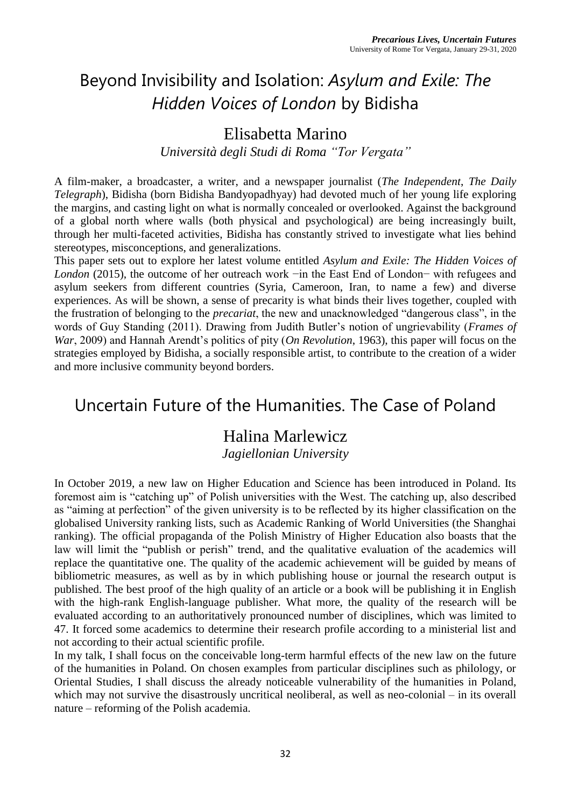# Beyond Invisibility and Isolation: *Asylum and Exile: The Hidden Voices of London* by Bidisha

### Elisabetta Marino

*Università degli Studi di Roma "Tor Vergata"*

A film-maker, a broadcaster, a writer, and a newspaper journalist (*The Independent*, *The Daily Telegraph*), Bidisha (born Bidisha Bandyopadhyay) had devoted much of her young life exploring the margins, and casting light on what is normally concealed or overlooked. Against the background of a global north where walls (both physical and psychological) are being increasingly built, through her multi-faceted activities, Bidisha has constantly strived to investigate what lies behind stereotypes, misconceptions, and generalizations.

This paper sets out to explore her latest volume entitled *Asylum and Exile: The Hidden Voices of London* (2015), the outcome of her outreach work −in the East End of London− with refugees and asylum seekers from different countries (Syria, Cameroon, Iran, to name a few) and diverse experiences. As will be shown, a sense of precarity is what binds their lives together, coupled with the frustration of belonging to the *precariat*, the new and unacknowledged "dangerous class", in the words of Guy Standing (2011). Drawing from Judith Butler's notion of ungrievability (*Frames of War*, 2009) and Hannah Arendt's politics of pity (*On Revolution*, 1963), this paper will focus on the strategies employed by Bidisha, a socially responsible artist, to contribute to the creation of a wider and more inclusive community beyond borders.

### Uncertain Future of the Humanities. The Case of Poland

### Halina Marlewicz

*Jagiellonian University*

In October 2019, a new law on Higher Education and Science has been introduced in Poland. Its foremost aim is "catching up" of Polish universities with the West. The catching up, also described as "aiming at perfection" of the given university is to be reflected by its higher classification on the globalised University ranking lists, such as Academic Ranking of World Universities (the Shanghai ranking). The official propaganda of the Polish Ministry of Higher Education also boasts that the law will limit the "publish or perish" trend, and the qualitative evaluation of the academics will replace the quantitative one. The quality of the academic achievement will be guided by means of bibliometric measures, as well as by in which publishing house or journal the research output is published. The best proof of the high quality of an article or a book will be publishing it in English with the high-rank English-language publisher. What more, the quality of the research will be evaluated according to an authoritatively pronounced number of disciplines, which was limited to 47. It forced some academics to determine their research profile according to a ministerial list and not according to their actual scientific profile.

In my talk, I shall focus on the conceivable long-term harmful effects of the new law on the future of the humanities in Poland. On chosen examples from particular disciplines such as philology, or Oriental Studies, I shall discuss the already noticeable vulnerability of the humanities in Poland, which may not survive the disastrously uncritical neoliberal, as well as neo-colonial – in its overall nature – reforming of the Polish academia.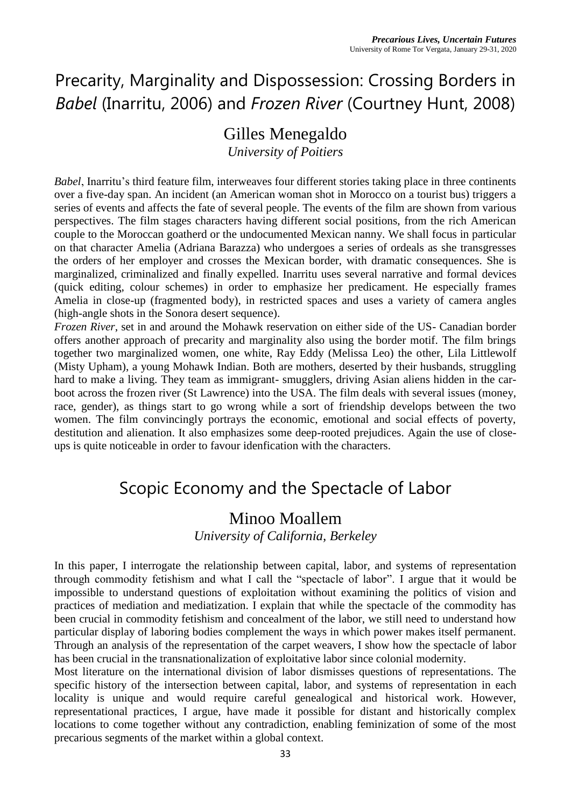### Precarity, Marginality and Dispossession: Crossing Borders in *Babel* (Inarritu, 2006) and *Frozen River* (Courtney Hunt, 2008)

### Gilles Menegaldo

*University of Poitiers*

*Babel*, Inarritu's third feature film, interweaves four different stories taking place in three continents over a five-day span. An incident (an American woman shot in Morocco on a tourist bus) triggers a series of events and affects the fate of several people. The events of the film are shown from various perspectives. The film stages characters having different social positions, from the rich American couple to the Moroccan goatherd or the undocumented Mexican nanny. We shall focus in particular on that character Amelia (Adriana Barazza) who undergoes a series of ordeals as she transgresses the orders of her employer and crosses the Mexican border, with dramatic consequences. She is marginalized, criminalized and finally expelled. Inarritu uses several narrative and formal devices (quick editing, colour schemes) in order to emphasize her predicament. He especially frames Amelia in close-up (fragmented body), in restricted spaces and uses a variety of camera angles (high-angle shots in the Sonora desert sequence).

*Frozen River*, set in and around the Mohawk reservation on either side of the US- Canadian border offers another approach of precarity and marginality also using the border motif. The film brings together two marginalized women, one white, Ray Eddy (Melissa Leo) the other, Lila Littlewolf (Misty Upham), a young Mohawk Indian. Both are mothers, deserted by their husbands, struggling hard to make a living. They team as immigrant- smugglers, driving Asian aliens hidden in the carboot across the frozen river (St Lawrence) into the USA. The film deals with several issues (money, race, gender), as things start to go wrong while a sort of friendship develops between the two women. The film convincingly portrays the economic, emotional and social effects of poverty, destitution and alienation. It also emphasizes some deep-rooted prejudices. Again the use of closeups is quite noticeable in order to favour idenfication with the characters.

### Scopic Economy and the Spectacle of Labor

#### Minoo Moallem

*University of California, Berkeley*

In this paper, I interrogate the relationship between capital, labor, and systems of representation through commodity fetishism and what I call the "spectacle of labor". I argue that it would be impossible to understand questions of exploitation without examining the politics of vision and practices of mediation and mediatization. I explain that while the spectacle of the commodity has been crucial in commodity fetishism and concealment of the labor, we still need to understand how particular display of laboring bodies complement the ways in which power makes itself permanent. Through an analysis of the representation of the carpet weavers, I show how the spectacle of labor has been crucial in the transnationalization of exploitative labor since colonial modernity.

Most literature on the international division of labor dismisses questions of representations. The specific history of the intersection between capital, labor, and systems of representation in each locality is unique and would require careful genealogical and historical work. However, representational practices, I argue, have made it possible for distant and historically complex locations to come together without any contradiction, enabling feminization of some of the most precarious segments of the market within a global context.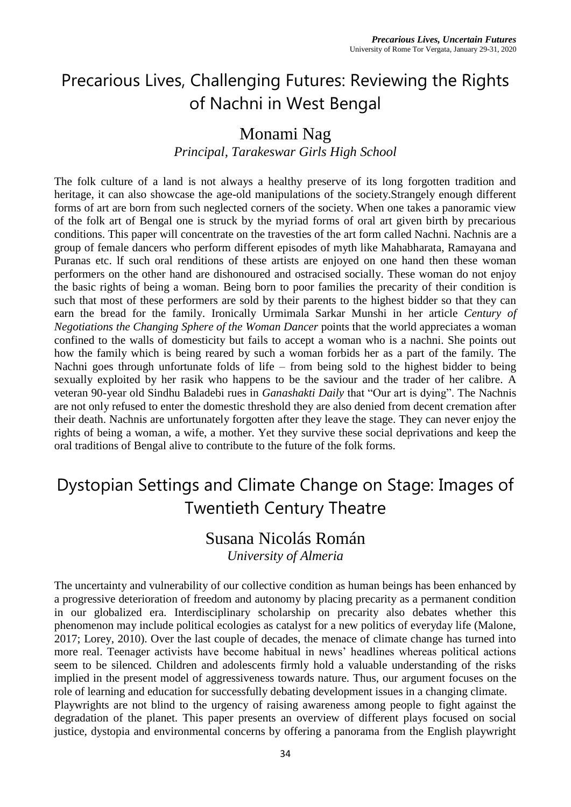# Precarious Lives, Challenging Futures: Reviewing the Rights of Nachni in West Bengal

#### Monami Nag

*Principal, Tarakeswar Girls High School*

The folk culture of a land is not always a healthy preserve of its long forgotten tradition and heritage, it can also showcase the age-old manipulations of the society.Strangely enough different forms of art are born from such neglected corners of the society. When one takes a panoramic view of the folk art of Bengal one is struck by the myriad forms of oral art given birth by precarious conditions. This paper will concentrate on the travesties of the art form called Nachni. Nachnis are a group of female dancers who perform different episodes of myth like Mahabharata, Ramayana and Puranas etc. lf such oral renditions of these artists are enjoyed on one hand then these woman performers on the other hand are dishonoured and ostracised socially. These woman do not enjoy the basic rights of being a woman. Being born to poor families the precarity of their condition is such that most of these performers are sold by their parents to the highest bidder so that they can earn the bread for the family. Ironically Urmimala Sarkar Munshi in her article *Century of Negotiations the Changing Sphere of the Woman Dancer* points that the world appreciates a woman confined to the walls of domesticity but fails to accept a woman who is a nachni. She points out how the family which is being reared by such a woman forbids her as a part of the family. The Nachni goes through unfortunate folds of life – from being sold to the highest bidder to being sexually exploited by her rasik who happens to be the saviour and the trader of her calibre. A veteran 90-year old Sindhu Baladebi rues in *Ganashakti Daily* that "Our art is dying". The Nachnis are not only refused to enter the domestic threshold they are also denied from decent cremation after their death. Nachnis are unfortunately forgotten after they leave the stage. They can never enjoy the rights of being a woman, a wife, a mother. Yet they survive these social deprivations and keep the oral traditions of Bengal alive to contribute to the future of the folk forms.

# Dystopian Settings and Climate Change on Stage: Images of Twentieth Century Theatre

#### Susana Nicolás Román *University of Almeria*

The uncertainty and vulnerability of our collective condition as human beings has been enhanced by a progressive deterioration of freedom and autonomy by placing precarity as a permanent condition in our globalized era. Interdisciplinary scholarship on precarity also debates whether this phenomenon may include political ecologies as catalyst for a new politics of everyday life (Malone, 2017; Lorey, 2010). Over the last couple of decades, the menace of climate change has turned into more real. Teenager activists have become habitual in news' headlines whereas political actions seem to be silenced. Children and adolescents firmly hold a valuable understanding of the risks implied in the present model of aggressiveness towards nature. Thus, our argument focuses on the role of learning and education for successfully debating development issues in a changing climate. Playwrights are not blind to the urgency of raising awareness among people to fight against the degradation of the planet. This paper presents an overview of different plays focused on social justice, dystopia and environmental concerns by offering a panorama from the English playwright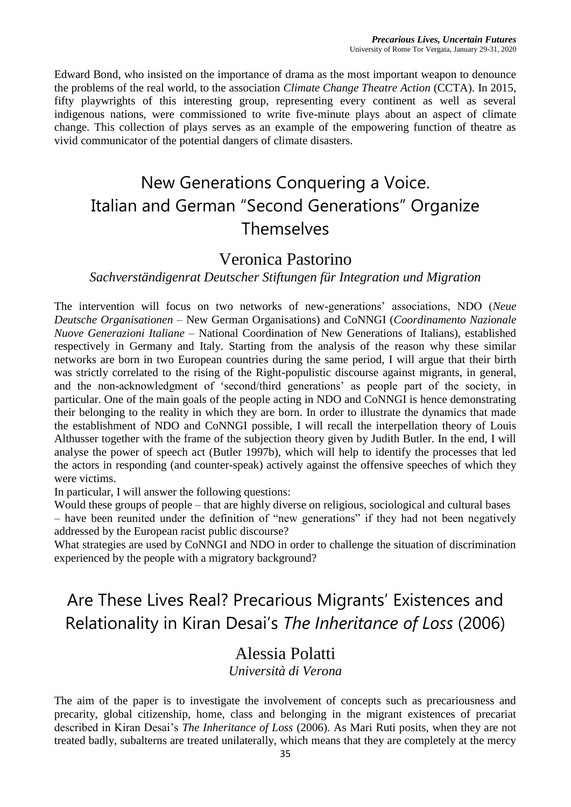Edward Bond, who insisted on the importance of drama as the most important weapon to denounce the problems of the real world, to the association *Climate Change Theatre Action* (CCTA). In 2015, fifty playwrights of this interesting group, representing every continent as well as several indigenous nations, were commissioned to write five-minute plays about an aspect of climate change. This collection of plays serves as an example of the empowering function of theatre as vivid communicator of the potential dangers of climate disasters.

# New Generations Conquering a Voice. Italian and German "Second Generations" Organize Themselves

#### Veronica Pastorino

#### *Sachverständigenrat Deutscher Stiftungen für Integration und Migration*

The intervention will focus on two networks of new-generations' associations, NDO (*Neue Deutsche Organisationen* – New German Organisations) and CoNNGI (*Coordinamento Nazionale Nuove Generazioni Italiane* – National Coordination of New Generations of Italians), established respectively in Germany and Italy. Starting from the analysis of the reason why these similar networks are born in two European countries during the same period, I will argue that their birth was strictly correlated to the rising of the Right-populistic discourse against migrants, in general, and the non-acknowledgment of 'second/third generations' as people part of the society, in particular. One of the main goals of the people acting in NDO and CoNNGI is hence demonstrating their belonging to the reality in which they are born. In order to illustrate the dynamics that made the establishment of NDO and CoNNGI possible, I will recall the interpellation theory of Louis Althusser together with the frame of the subjection theory given by Judith Butler. In the end, I will analyse the power of speech act (Butler 1997b), which will help to identify the processes that led the actors in responding (and counter-speak) actively against the offensive speeches of which they were victims.

In particular, I will answer the following questions:

Would these groups of people – that are highly diverse on religious, sociological and cultural bases – have been reunited under the definition of "new generations" if they had not been negatively addressed by the European racist public discourse?

What strategies are used by CoNNGI and NDO in order to challenge the situation of discrimination experienced by the people with a migratory background?

### Are These Lives Real? Precarious Migrants' Existences and Relationality in Kiran Desai's *The Inheritance of Loss* (2006)

#### Alessia Polatti

*Università di Verona*

The aim of the paper is to investigate the involvement of concepts such as precariousness and precarity, global citizenship, home, class and belonging in the migrant existences of precariat described in Kiran Desai's *The Inheritance of Loss* (2006). As Mari Ruti posits, when they are not treated badly, subalterns are treated unilaterally, which means that they are completely at the mercy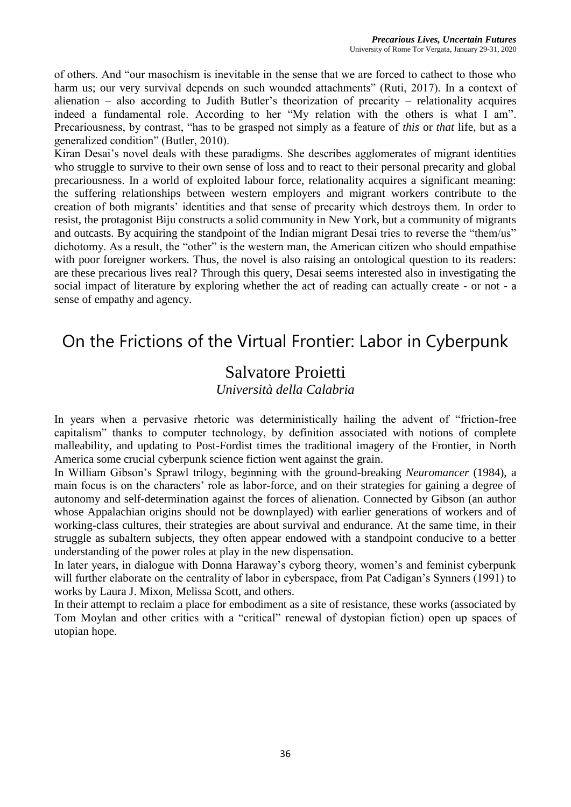of others. And "our masochism is inevitable in the sense that we are forced to cathect to those who harm us; our very survival depends on such wounded attachments" (Ruti, 2017). In a context of alienation – also according to Judith Butler's theorization of precarity – relationality acquires indeed a fundamental role. According to her "My relation with the others is what I am". Precariousness, by contrast, "has to be grasped not simply as a feature of *this* or *that* life, but as a generalized condition" (Butler, 2010).

Kiran Desai's novel deals with these paradigms. She describes agglomerates of migrant identities who struggle to survive to their own sense of loss and to react to their personal precarity and global precariousness. In a world of exploited labour force, relationality acquires a significant meaning: the suffering relationships between western employers and migrant workers contribute to the creation of both migrants' identities and that sense of precarity which destroys them. In order to resist, the protagonist Biju constructs a solid community in New York, but a community of migrants and outcasts. By acquiring the standpoint of the Indian migrant Desai tries to reverse the "them/us" dichotomy. As a result, the "other" is the western man, the American citizen who should empathise with poor foreigner workers. Thus, the novel is also raising an ontological question to its readers: are these precarious lives real? Through this query, Desai seems interested also in investigating the social impact of literature by exploring whether the act of reading can actually create - or not - a sense of empathy and agency.

### On the Frictions of the Virtual Frontier: Labor in Cyberpunk

# Salvatore Proietti

*Università della Calabria*

In years when a pervasive rhetoric was deterministically hailing the advent of "friction-free capitalism" thanks to computer technology, by definition associated with notions of complete malleability, and updating to Post-Fordist times the traditional imagery of the Frontier, in North America some crucial cyberpunk science fiction went against the grain.

In William Gibson's Sprawl trilogy, beginning with the ground-breaking *Neuromancer* (1984), a main focus is on the characters' role as labor-force, and on their strategies for gaining a degree of autonomy and self-determination against the forces of alienation. Connected by Gibson (an author whose Appalachian origins should not be downplayed) with earlier generations of workers and of working-class cultures, their strategies are about survival and endurance. At the same time, in their struggle as subaltern subjects, they often appear endowed with a standpoint conducive to a better understanding of the power roles at play in the new dispensation.

In later years, in dialogue with Donna Haraway's cyborg theory, women's and feminist cyberpunk will further elaborate on the centrality of labor in cyberspace, from Pat Cadigan's Synners (1991) to works by Laura J. Mixon, Melissa Scott, and others.

In their attempt to reclaim a place for embodiment as a site of resistance, these works (associated by Tom Moylan and other critics with a "critical" renewal of dystopian fiction) open up spaces of utopian hope.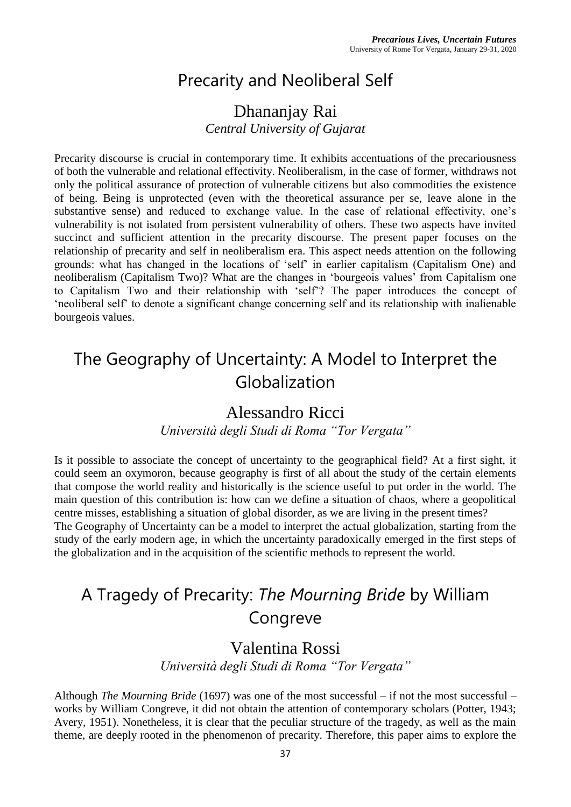# Precarity and Neoliberal Self

#### Dhananjay Rai *Central University of Gujarat*

Precarity discourse is crucial in contemporary time. It exhibits accentuations of the precariousness of both the vulnerable and relational effectivity. Neoliberalism, in the case of former, withdraws not only the political assurance of protection of vulnerable citizens but also commodities the existence of being. Being is unprotected (even with the theoretical assurance per se, leave alone in the substantive sense) and reduced to exchange value. In the case of relational effectivity, one's vulnerability is not isolated from persistent vulnerability of others. These two aspects have invited succinct and sufficient attention in the precarity discourse. The present paper focuses on the relationship of precarity and self in neoliberalism era. This aspect needs attention on the following grounds: what has changed in the locations of 'self' in earlier capitalism (Capitalism One) and neoliberalism (Capitalism Two)? What are the changes in 'bourgeois values' from Capitalism one to Capitalism Two and their relationship with 'self'? The paper introduces the concept of 'neoliberal self' to denote a significant change concerning self and its relationship with inalienable bourgeois values.

### The Geography of Uncertainty: A Model to Interpret the Globalization

### Alessandro Ricci

*Università degli Studi di Roma "Tor Vergata"*

Is it possible to associate the concept of uncertainty to the geographical field? At a first sight, it could seem an oxymoron, because geography is first of all about the study of the certain elements that compose the world reality and historically is the science useful to put order in the world. The main question of this contribution is: how can we define a situation of chaos, where a geopolitical centre misses, establishing a situation of global disorder, as we are living in the present times? The Geography of Uncertainty can be a model to interpret the actual globalization, starting from the

study of the early modern age, in which the uncertainty paradoxically emerged in the first steps of the globalization and in the acquisition of the scientific methods to represent the world.

# A Tragedy of Precarity: *The Mourning Bride* by William Congreve

### Valentina Rossi

*Università degli Studi di Roma "Tor Vergata"*

Although *The Mourning Bride* (1697) was one of the most successful – if not the most successful – works by William Congreve, it did not obtain the attention of contemporary scholars (Potter, 1943; Avery, 1951). Nonetheless, it is clear that the peculiar structure of the tragedy, as well as the main theme, are deeply rooted in the phenomenon of precarity. Therefore, this paper aims to explore the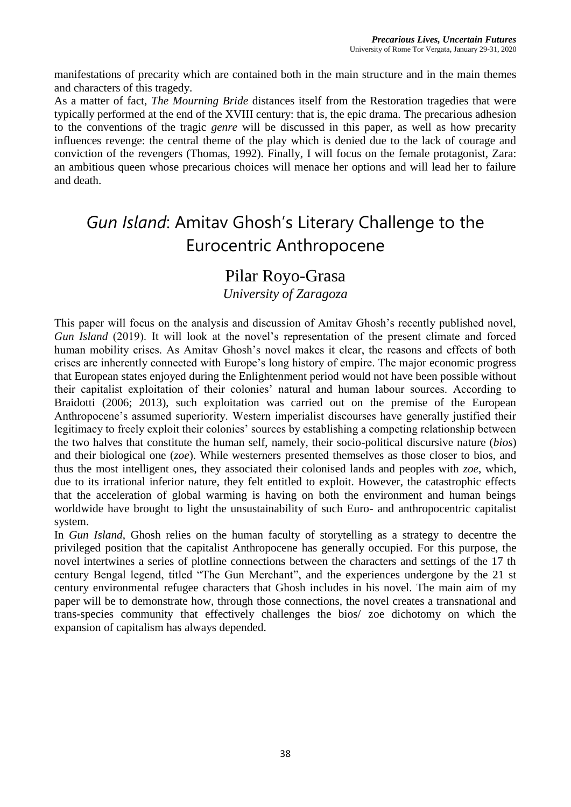manifestations of precarity which are contained both in the main structure and in the main themes and characters of this tragedy.

As a matter of fact, *The Mourning Bride* distances itself from the Restoration tragedies that were typically performed at the end of the XVIII century: that is, the epic drama. The precarious adhesion to the conventions of the tragic *genre* will be discussed in this paper, as well as how precarity influences revenge: the central theme of the play which is denied due to the lack of courage and conviction of the revengers (Thomas, 1992). Finally, I will focus on the female protagonist, Zara: an ambitious queen whose precarious choices will menace her options and will lead her to failure and death.

# *Gun Island*: Amitav Ghosh's Literary Challenge to the Eurocentric Anthropocene

#### Pilar Royo-Grasa

*University of Zaragoza*

This paper will focus on the analysis and discussion of Amitav Ghosh's recently published novel, *Gun Island* (2019). It will look at the novel's representation of the present climate and forced human mobility crises. As Amitav Ghosh's novel makes it clear, the reasons and effects of both crises are inherently connected with Europe's long history of empire. The major economic progress that European states enjoyed during the Enlightenment period would not have been possible without their capitalist exploitation of their colonies' natural and human labour sources. According to Braidotti (2006; 2013), such exploitation was carried out on the premise of the European Anthropocene's assumed superiority. Western imperialist discourses have generally justified their legitimacy to freely exploit their colonies' sources by establishing a competing relationship between the two halves that constitute the human self, namely, their socio-political discursive nature (*bios*) and their biological one (*zoe*). While westerners presented themselves as those closer to bios, and thus the most intelligent ones, they associated their colonised lands and peoples with *zoe*, which, due to its irrational inferior nature, they felt entitled to exploit. However, the catastrophic effects that the acceleration of global warming is having on both the environment and human beings worldwide have brought to light the unsustainability of such Euro- and anthropocentric capitalist system.

In *Gun Island*, Ghosh relies on the human faculty of storytelling as a strategy to decentre the privileged position that the capitalist Anthropocene has generally occupied. For this purpose, the novel intertwines a series of plotline connections between the characters and settings of the 17 th century Bengal legend, titled "The Gun Merchant", and the experiences undergone by the 21 st century environmental refugee characters that Ghosh includes in his novel. The main aim of my paper will be to demonstrate how, through those connections, the novel creates a transnational and trans-species community that effectively challenges the bios/ zoe dichotomy on which the expansion of capitalism has always depended.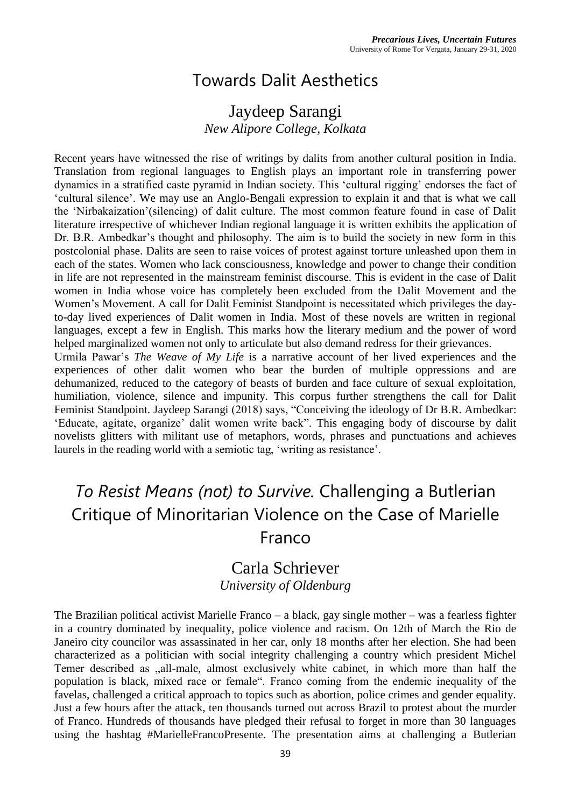### Towards Dalit Aesthetics

#### Jaydeep Sarangi *New Alipore College, Kolkata*

Recent years have witnessed the rise of writings by dalits from another cultural position in India. Translation from regional languages to English plays an important role in transferring power dynamics in a stratified caste pyramid in Indian society. This 'cultural rigging' endorses the fact of 'cultural silence'. We may use an Anglo-Bengali expression to explain it and that is what we call the 'Nirbakaization'(silencing) of dalit culture. The most common feature found in case of Dalit literature irrespective of whichever Indian regional language it is written exhibits the application of Dr. B.R. Ambedkar's thought and philosophy. The aim is to build the society in new form in this postcolonial phase. Dalits are seen to raise voices of protest against torture unleashed upon them in each of the states. Women who lack consciousness, knowledge and power to change their condition in life are not represented in the mainstream feminist discourse. This is evident in the case of Dalit women in India whose voice has completely been excluded from the Dalit Movement and the Women's Movement. A call for Dalit Feminist Standpoint is necessitated which privileges the dayto-day lived experiences of Dalit women in India. Most of these novels are written in regional languages, except a few in English. This marks how the literary medium and the power of word helped marginalized women not only to articulate but also demand redress for their grievances.

Urmila Pawar's *The Weave of My Life* is a narrative account of her lived experiences and the experiences of other dalit women who bear the burden of multiple oppressions and are dehumanized, reduced to the category of beasts of burden and face culture of sexual exploitation, humiliation, violence, silence and impunity. This corpus further strengthens the call for Dalit Feminist Standpoint. Jaydeep Sarangi (2018) says, "Conceiving the ideology of Dr B.R. Ambedkar: 'Educate, agitate, organize' dalit women write back". This engaging body of discourse by dalit novelists glitters with militant use of metaphors, words, phrases and punctuations and achieves laurels in the reading world with a semiotic tag, 'writing as resistance'.

### *To Resist Means (not) to Survive.* Challenging a Butlerian Critique of Minoritarian Violence on the Case of Marielle Franco

#### Carla Schriever *University of Oldenburg*

The Brazilian political activist Marielle Franco – a black, gay single mother – was a fearless fighter in a country dominated by inequality, police violence and racism. On 12th of March the Rio de Janeiro city councilor was assassinated in her car, only 18 months after her election. She had been characterized as a politician with social integrity challenging a country which president Michel Temer described as  $\alpha$ , all-male, almost exclusively white cabinet, in which more than half the population is black, mixed race or female". Franco coming from the endemic inequality of the favelas, challenged a critical approach to topics such as abortion, police crimes and gender equality. Just a few hours after the attack, ten thousands turned out across Brazil to protest about the murder of Franco. Hundreds of thousands have pledged their refusal to forget in more than 30 languages using the hashtag #MarielleFrancoPresente. The presentation aims at challenging a Butlerian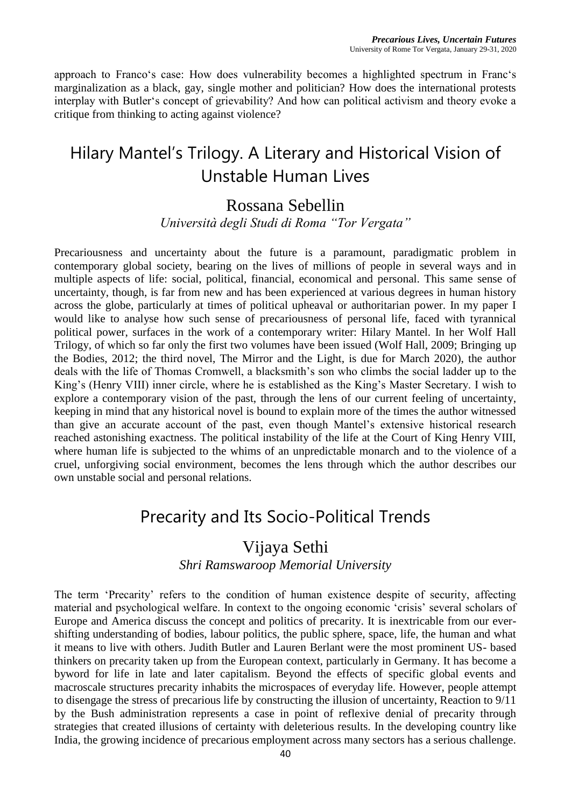approach to Franco's case: How does vulnerability becomes a highlighted spectrum in Franc's marginalization as a black, gay, single mother and politician? How does the international protests interplay with Butler's concept of grievability? And how can political activism and theory evoke a critique from thinking to acting against violence?

### Hilary Mantel's Trilogy. A Literary and Historical Vision of Unstable Human Lives

#### Rossana Sebellin

*Università degli Studi di Roma "Tor Vergata"*

Precariousness and uncertainty about the future is a paramount, paradigmatic problem in contemporary global society, bearing on the lives of millions of people in several ways and in multiple aspects of life: social, political, financial, economical and personal. This same sense of uncertainty, though, is far from new and has been experienced at various degrees in human history across the globe, particularly at times of political upheaval or authoritarian power. In my paper I would like to analyse how such sense of precariousness of personal life, faced with tyrannical political power, surfaces in the work of a contemporary writer: Hilary Mantel. In her Wolf Hall Trilogy, of which so far only the first two volumes have been issued (Wolf Hall, 2009; Bringing up the Bodies, 2012; the third novel, The Mirror and the Light, is due for March 2020), the author deals with the life of Thomas Cromwell, a blacksmith's son who climbs the social ladder up to the King's (Henry VIII) inner circle, where he is established as the King's Master Secretary. I wish to explore a contemporary vision of the past, through the lens of our current feeling of uncertainty, keeping in mind that any historical novel is bound to explain more of the times the author witnessed than give an accurate account of the past, even though Mantel's extensive historical research reached astonishing exactness. The political instability of the life at the Court of King Henry VIII, where human life is subjected to the whims of an unpredictable monarch and to the violence of a cruel, unforgiving social environment, becomes the lens through which the author describes our own unstable social and personal relations.

### Precarity and Its Socio-Political Trends

#### Vijaya Sethi

*Shri Ramswaroop Memorial University*

The term 'Precarity' refers to the condition of human existence despite of security, affecting material and psychological welfare. In context to the ongoing economic 'crisis' several scholars of Europe and America discuss the concept and politics of precarity. It is inextricable from our evershifting understanding of bodies, labour politics, the public sphere, space, life, the human and what it means to live with others. Judith Butler and Lauren Berlant were the most prominent US- based thinkers on precarity taken up from the European context, particularly in Germany. It has become a byword for life in late and later capitalism. Beyond the effects of specific global events and macroscale structures precarity inhabits the microspaces of everyday life. However, people attempt to disengage the stress of precarious life by constructing the illusion of uncertainty, Reaction to 9/11 by the Bush administration represents a case in point of reflexive denial of precarity through strategies that created illusions of certainty with deleterious results. In the developing country like India, the growing incidence of precarious employment across many sectors has a serious challenge.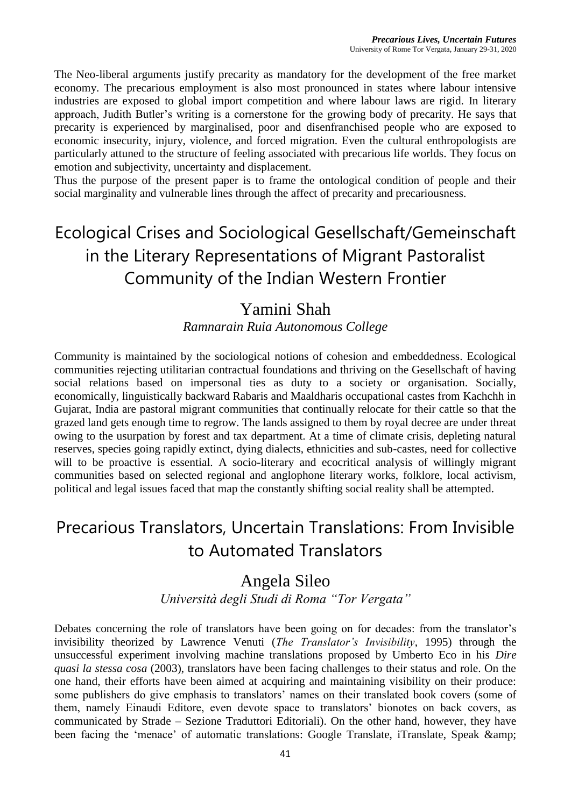The Neo-liberal arguments justify precarity as mandatory for the development of the free market economy. The precarious employment is also most pronounced in states where labour intensive industries are exposed to global import competition and where labour laws are rigid. In literary approach, Judith Butler's writing is a cornerstone for the growing body of precarity. He says that precarity is experienced by marginalised, poor and disenfranchised people who are exposed to economic insecurity, injury, violence, and forced migration. Even the cultural enthropologists are particularly attuned to the structure of feeling associated with precarious life worlds. They focus on emotion and subjectivity, uncertainty and displacement.

Thus the purpose of the present paper is to frame the ontological condition of people and their social marginality and vulnerable lines through the affect of precarity and precariousness.

# Ecological Crises and Sociological Gesellschaft/Gemeinschaft in the Literary Representations of Migrant Pastoralist Community of the Indian Western Frontier

### Yamini Shah

#### *Ramnarain Ruia Autonomous College*

Community is maintained by the sociological notions of cohesion and embeddedness. Ecological communities rejecting utilitarian contractual foundations and thriving on the Gesellschaft of having social relations based on impersonal ties as duty to a society or organisation. Socially, economically, linguistically backward Rabaris and Maaldharis occupational castes from Kachchh in Gujarat, India are pastoral migrant communities that continually relocate for their cattle so that the grazed land gets enough time to regrow. The lands assigned to them by royal decree are under threat owing to the usurpation by forest and tax department. At a time of climate crisis, depleting natural reserves, species going rapidly extinct, dying dialects, ethnicities and sub-castes, need for collective will to be proactive is essential. A socio-literary and ecocritical analysis of willingly migrant communities based on selected regional and anglophone literary works, folklore, local activism, political and legal issues faced that map the constantly shifting social reality shall be attempted.

### Precarious Translators, Uncertain Translations: From Invisible to Automated Translators

### Angela Sileo

*Università degli Studi di Roma "Tor Vergata"*

Debates concerning the role of translators have been going on for decades: from the translator's invisibility theorized by Lawrence Venuti (*The Translator's Invisibility*, 1995) through the unsuccessful experiment involving machine translations proposed by Umberto Eco in his *Dire quasi la stessa cosa* (2003), translators have been facing challenges to their status and role. On the one hand, their efforts have been aimed at acquiring and maintaining visibility on their produce: some publishers do give emphasis to translators' names on their translated book covers (some of them, namely Einaudi Editore, even devote space to translators' bionotes on back covers, as communicated by Strade – Sezione Traduttori Editoriali). On the other hand, however, they have been facing the 'menace' of automatic translations: Google Translate, iTranslate, Speak &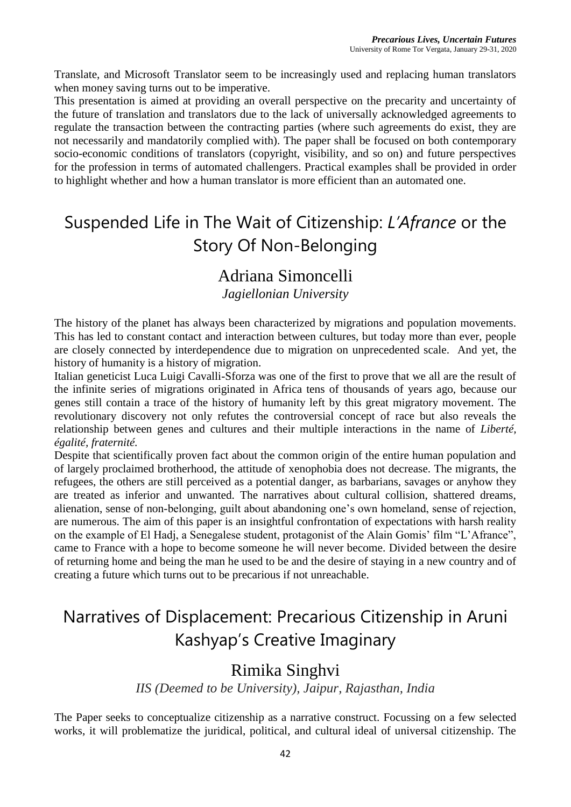Translate, and Microsoft Translator seem to be increasingly used and replacing human translators when money saving turns out to be imperative.

This presentation is aimed at providing an overall perspective on the precarity and uncertainty of the future of translation and translators due to the lack of universally acknowledged agreements to regulate the transaction between the contracting parties (where such agreements do exist, they are not necessarily and mandatorily complied with). The paper shall be focused on both contemporary socio-economic conditions of translators (copyright, visibility, and so on) and future perspectives for the profession in terms of automated challengers. Practical examples shall be provided in order to highlight whether and how a human translator is more efficient than an automated one.

# Suspended Life in The Wait of Citizenship: *L'Afrance* or the Story Of Non-Belonging

### Adriana Simoncelli

*Jagiellonian University*

The history of the planet has always been characterized by migrations and population movements. This has led to constant contact and interaction between cultures, but today more than ever, people are closely connected by interdependence due to migration on unprecedented scale. And yet, the history of humanity is a history of migration.

Italian geneticist Luca Luigi Cavalli-Sforza was one of the first to prove that we all are the result of the infinite series of migrations originated in Africa tens of thousands of years ago, because our genes still contain a trace of the history of humanity left by this great migratory movement. The revolutionary discovery not only refutes the controversial concept of race but also reveals the relationship between genes and cultures and their multiple interactions in the name of *Liberté, égalité, fraternité.*

Despite that scientifically proven fact about the common origin of the entire human population and of largely proclaimed brotherhood, the attitude of xenophobia does not decrease. The migrants, the refugees, the others are still perceived as a potential danger, as barbarians, savages or anyhow they are treated as inferior and unwanted. The narratives about cultural collision, shattered dreams, alienation, sense of non-belonging, guilt about abandoning one's own homeland, sense of rejection, are numerous. The aim of this paper is an insightful confrontation of expectations with harsh reality on the example of El Hadj, a Senegalese student, protagonist of the Alain Gomis' film "L'Afrance", came to France with a hope to become someone he will never become. Divided between the desire of returning home and being the man he used to be and the desire of staying in a new country and of creating a future which turns out to be precarious if not unreachable.

### Narratives of Displacement: Precarious Citizenship in Aruni Kashyap's Creative Imaginary

### Rimika Singhvi

*IIS (Deemed to be University), Jaipur, Rajasthan, India*

The Paper seeks to conceptualize citizenship as a narrative construct. Focussing on a few selected works, it will problematize the juridical, political, and cultural ideal of universal citizenship. The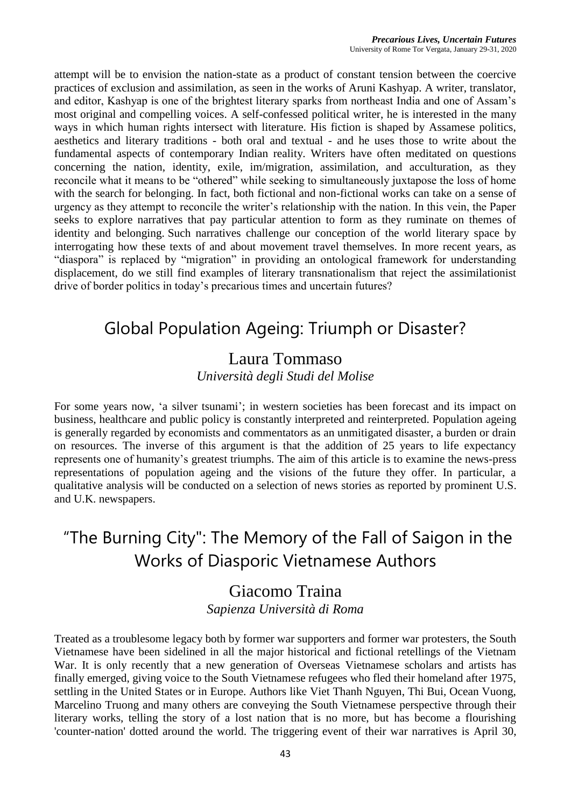attempt will be to envision the nation-state as a product of constant tension between the coercive practices of exclusion and assimilation, as seen in the works of Aruni Kashyap. A writer, translator, and editor, Kashyap is one of the brightest literary sparks from northeast India and one of Assam's most original and compelling voices. A self-confessed political writer, he is interested in the many ways in which human rights intersect with literature. His fiction is shaped by Assamese politics, aesthetics and literary traditions - both oral and textual - and he uses those to write about the fundamental aspects of contemporary Indian reality. Writers have often meditated on questions concerning the nation, identity, exile, im/migration, assimilation, and acculturation, as they reconcile what it means to be "othered" while seeking to simultaneously juxtapose the loss of home with the search for belonging. In fact, both fictional and non-fictional works can take on a sense of urgency as they attempt to reconcile the writer's relationship with the nation. In this vein, the Paper seeks to explore narratives that pay particular attention to form as they ruminate on themes of identity and belonging. Such narratives challenge our conception of the world literary space by interrogating how these texts of and about movement travel themselves. In more recent years, as "diaspora" is replaced by "migration" in providing an ontological framework for understanding displacement, do we still find examples of literary transnationalism that reject the assimilationist drive of border politics in today's precarious times and uncertain futures?

### Global Population Ageing: Triumph or Disaster?

#### Laura Tommaso *Università degli Studi del Molise*

For some years now, 'a silver tsunami'; in western societies has been forecast and its impact on business, healthcare and public policy is constantly interpreted and reinterpreted. Population ageing is generally regarded by economists and commentators as an unmitigated disaster, a burden or drain on resources. The inverse of this argument is that the addition of 25 years to life expectancy represents one of humanity's greatest triumphs. The aim of this article is to examine the news-press representations of population ageing and the visions of the future they offer. In particular, a qualitative analysis will be conducted on a selection of news stories as reported by prominent U.S. and U.K. newspapers.

# "The Burning City": The Memory of the Fall of Saigon in the Works of Diasporic Vietnamese Authors

#### Giacomo Traina *Sapienza Università di Roma*

Treated as a troublesome legacy both by former war supporters and former war protesters, the South Vietnamese have been sidelined in all the major historical and fictional retellings of the Vietnam War. It is only recently that a new generation of Overseas Vietnamese scholars and artists has finally emerged, giving voice to the South Vietnamese refugees who fled their homeland after 1975, settling in the United States or in Europe. Authors like Viet Thanh Nguyen, Thi Bui, Ocean Vuong, Marcelino Truong and many others are conveying the South Vietnamese perspective through their literary works, telling the story of a lost nation that is no more, but has become a flourishing 'counter-nation' dotted around the world. The triggering event of their war narratives is April 30,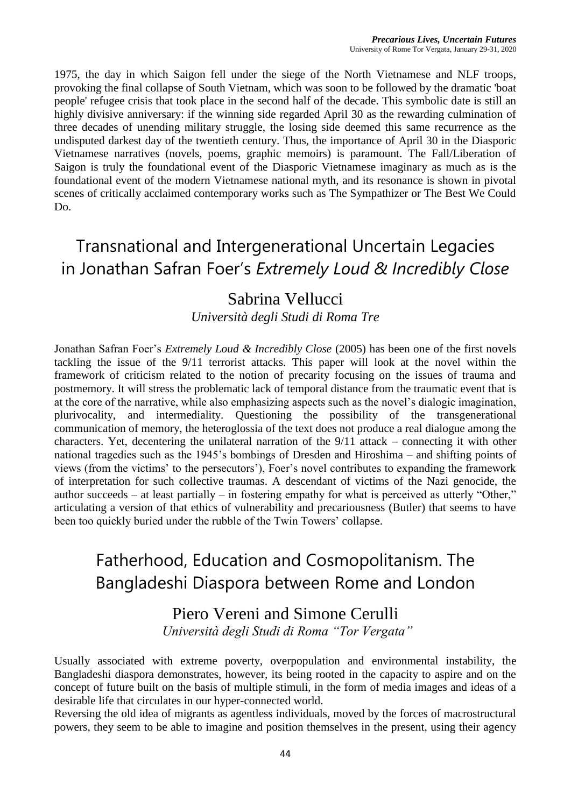1975, the day in which Saigon fell under the siege of the North Vietnamese and NLF troops, provoking the final collapse of South Vietnam, which was soon to be followed by the dramatic 'boat people' refugee crisis that took place in the second half of the decade. This symbolic date is still an highly divisive anniversary: if the winning side regarded April 30 as the rewarding culmination of three decades of unending military struggle, the losing side deemed this same recurrence as the undisputed darkest day of the twentieth century. Thus, the importance of April 30 in the Diasporic Vietnamese narratives (novels, poems, graphic memoirs) is paramount. The Fall/Liberation of Saigon is truly the foundational event of the Diasporic Vietnamese imaginary as much as is the foundational event of the modern Vietnamese national myth, and its resonance is shown in pivotal scenes of critically acclaimed contemporary works such as The Sympathizer or The Best We Could Do.

### Transnational and Intergenerational Uncertain Legacies in Jonathan Safran Foer's *Extremely Loud & Incredibly Close*

### Sabrina Vellucci

*Università degli Studi di Roma Tre*

Jonathan Safran Foer's *Extremely Loud & Incredibly Close* (2005) has been one of the first novels tackling the issue of the 9/11 terrorist attacks. This paper will look at the novel within the framework of criticism related to the notion of precarity focusing on the issues of trauma and postmemory. It will stress the problematic lack of temporal distance from the traumatic event that is at the core of the narrative, while also emphasizing aspects such as the novel's dialogic imagination, plurivocality, and intermediality. Questioning the possibility of the transgenerational communication of memory, the heteroglossia of the text does not produce a real dialogue among the characters. Yet, decentering the unilateral narration of the 9/11 attack – connecting it with other national tragedies such as the 1945's bombings of Dresden and Hiroshima – and shifting points of views (from the victims' to the persecutors'), Foer's novel contributes to expanding the framework of interpretation for such collective traumas. A descendant of victims of the Nazi genocide, the author succeeds – at least partially – in fostering empathy for what is perceived as utterly "Other," articulating a version of that ethics of vulnerability and precariousness (Butler) that seems to have been too quickly buried under the rubble of the Twin Towers' collapse.

# Fatherhood, Education and Cosmopolitanism. The Bangladeshi Diaspora between Rome and London

#### Piero Vereni and Simone Cerulli *Università degli Studi di Roma "Tor Vergata"*

Usually associated with extreme poverty, overpopulation and environmental instability, the Bangladeshi diaspora demonstrates, however, its being rooted in the capacity to aspire and on the concept of future built on the basis of multiple stimuli, in the form of media images and ideas of a desirable life that circulates in our hyper-connected world.

Reversing the old idea of migrants as agentless individuals, moved by the forces of macrostructural powers, they seem to be able to imagine and position themselves in the present, using their agency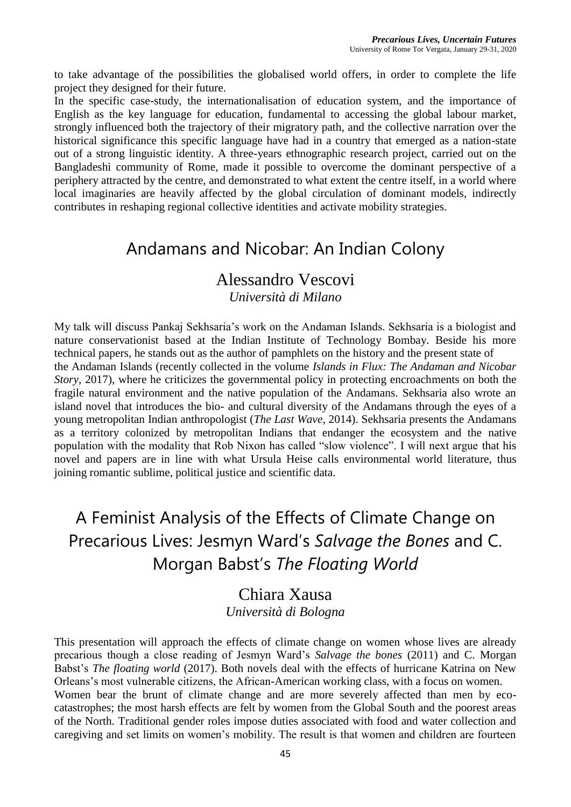to take advantage of the possibilities the globalised world offers, in order to complete the life project they designed for their future.

In the specific case-study, the internationalisation of education system, and the importance of English as the key language for education, fundamental to accessing the global labour market, strongly influenced both the trajectory of their migratory path, and the collective narration over the historical significance this specific language have had in a country that emerged as a nation-state out of a strong linguistic identity. A three-years ethnographic research project, carried out on the Bangladeshi community of Rome, made it possible to overcome the dominant perspective of a periphery attracted by the centre, and demonstrated to what extent the centre itself, in a world where local imaginaries are heavily affected by the global circulation of dominant models, indirectly contributes in reshaping regional collective identities and activate mobility strategies.

### Andamans and Nicobar: An Indian Colony

### Alessandro Vescovi

#### *Università di Milano*

My talk will discuss Pankaj Sekhsaria's work on the Andaman Islands. Sekhsaria is a biologist and nature conservationist based at the Indian Institute of Technology Bombay. Beside his more technical papers, he stands out as the author of pamphlets on the history and the present state of the Andaman Islands (recently collected in the volume *Islands in Flux: The Andaman and Nicobar Story*, 2017), where he criticizes the governmental policy in protecting encroachments on both the fragile natural environment and the native population of the Andamans. Sekhsaria also wrote an island novel that introduces the bio- and cultural diversity of the Andamans through the eyes of a young metropolitan Indian anthropologist (*The Last Wave*, 2014). Sekhsaria presents the Andamans as a territory colonized by metropolitan Indians that endanger the ecosystem and the native population with the modality that Rob Nixon has called "slow violence". I will next argue that his novel and papers are in line with what Ursula Heise calls environmental world literature, thus joining romantic sublime, political justice and scientific data.

# A Feminist Analysis of the Effects of Climate Change on Precarious Lives: Jesmyn Ward's *Salvage the Bones* and C. Morgan Babst's *The Floating World*

#### Chiara Xausa *Università di Bologna*

This presentation will approach the effects of climate change on women whose lives are already precarious though a close reading of Jesmyn Ward's *Salvage the bones* (2011) and C. Morgan Babst's *The floating world* (2017). Both novels deal with the effects of hurricane Katrina on New Orleans's most vulnerable citizens, the African-American working class, with a focus on women. Women bear the brunt of climate change and are more severely affected than men by ecocatastrophes; the most harsh effects are felt by women from the Global South and the poorest areas of the North. Traditional gender roles impose duties associated with food and water collection and caregiving and set limits on women's mobility. The result is that women and children are fourteen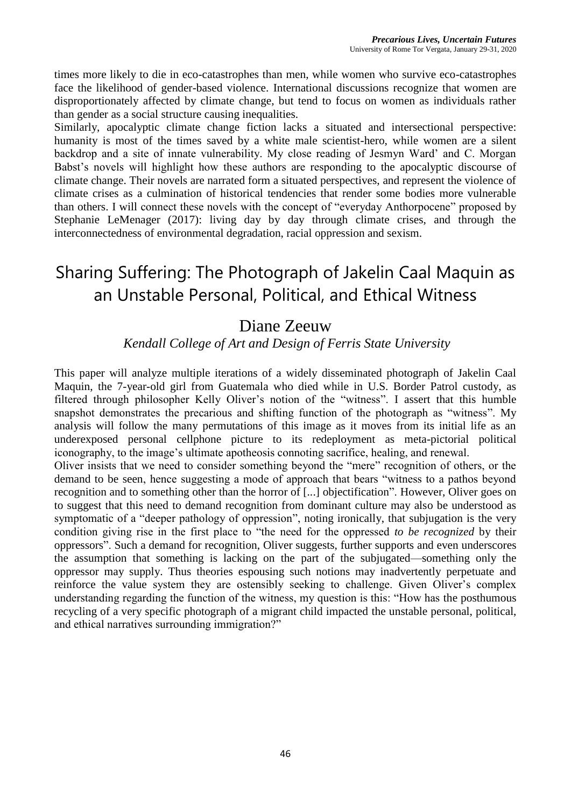times more likely to die in eco-catastrophes than men, while women who survive eco-catastrophes face the likelihood of gender-based violence. International discussions recognize that women are disproportionately affected by climate change, but tend to focus on women as individuals rather than gender as a social structure causing inequalities.

Similarly, apocalyptic climate change fiction lacks a situated and intersectional perspective: humanity is most of the times saved by a white male scientist-hero, while women are a silent backdrop and a site of innate vulnerability. My close reading of Jesmyn Ward' and C. Morgan Babst's novels will highlight how these authors are responding to the apocalyptic discourse of climate change. Their novels are narrated form a situated perspectives, and represent the violence of climate crises as a culmination of historical tendencies that render some bodies more vulnerable than others. I will connect these novels with the concept of "everyday Anthorpocene" proposed by Stephanie LeMenager (2017): living day by day through climate crises, and through the interconnectedness of environmental degradation, racial oppression and sexism.

### Sharing Suffering: The Photograph of Jakelin Caal Maquin as an Unstable Personal, Political, and Ethical Witness

#### Diane Zeeuw

#### *Kendall College of Art and Design of Ferris State University*

This paper will analyze multiple iterations of a widely disseminated photograph of Jakelin Caal Maquin, the 7-year-old girl from Guatemala who died while in U.S. Border Patrol custody, as filtered through philosopher Kelly Oliver's notion of the "witness". I assert that this humble snapshot demonstrates the precarious and shifting function of the photograph as "witness". My analysis will follow the many permutations of this image as it moves from its initial life as an underexposed personal cellphone picture to its redeployment as meta-pictorial political iconography, to the image's ultimate apotheosis connoting sacrifice, healing, and renewal.

Oliver insists that we need to consider something beyond the "mere" recognition of others, or the demand to be seen, hence suggesting a mode of approach that bears "witness to a pathos beyond recognition and to something other than the horror of [...] objectification". However, Oliver goes on to suggest that this need to demand recognition from dominant culture may also be understood as symptomatic of a "deeper pathology of oppression", noting ironically, that subjugation is the very condition giving rise in the first place to "the need for the oppressed *to be recognized* by their oppressors". Such a demand for recognition, Oliver suggests, further supports and even underscores the assumption that something is lacking on the part of the subjugated—something only the oppressor may supply. Thus theories espousing such notions may inadvertently perpetuate and reinforce the value system they are ostensibly seeking to challenge. Given Oliver's complex understanding regarding the function of the witness, my question is this: "How has the posthumous recycling of a very specific photograph of a migrant child impacted the unstable personal, political, and ethical narratives surrounding immigration?"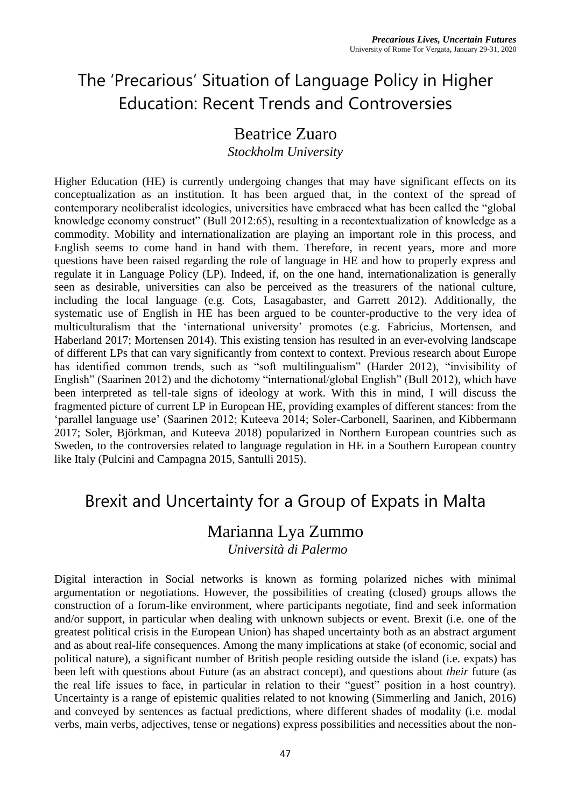# The 'Precarious' Situation of Language Policy in Higher Education: Recent Trends and Controversies

### Beatrice Zuaro

*Stockholm University*

Higher Education (HE) is currently undergoing changes that may have significant effects on its conceptualization as an institution. It has been argued that, in the context of the spread of contemporary neoliberalist ideologies, universities have embraced what has been called the "global knowledge economy construct" (Bull 2012:65), resulting in a recontextualization of knowledge as a commodity. Mobility and internationalization are playing an important role in this process, and English seems to come hand in hand with them. Therefore, in recent years, more and more questions have been raised regarding the role of language in HE and how to properly express and regulate it in Language Policy (LP). Indeed, if, on the one hand, internationalization is generally seen as desirable, universities can also be perceived as the treasurers of the national culture, including the local language (e.g. Cots, Lasagabaster, and Garrett 2012). Additionally, the systematic use of English in HE has been argued to be counter-productive to the very idea of multiculturalism that the 'international university' promotes (e.g. Fabricius, Mortensen, and Haberland 2017; Mortensen 2014). This existing tension has resulted in an ever-evolving landscape of different LPs that can vary significantly from context to context. Previous research about Europe has identified common trends, such as "soft multilingualism" (Harder 2012), "invisibility of English" (Saarinen 2012) and the dichotomy "international/global English" (Bull 2012), which have been interpreted as tell-tale signs of ideology at work. With this in mind, I will discuss the fragmented picture of current LP in European HE, providing examples of different stances: from the 'parallel language use' (Saarinen 2012; Kuteeva 2014; Soler-Carbonell, Saarinen, and Kibbermann 2017; Soler, Björkman, and Kuteeva 2018) popularized in Northern European countries such as Sweden, to the controversies related to language regulation in HE in a Southern European country like Italy (Pulcini and Campagna 2015, Santulli 2015).

### Brexit and Uncertainty for a Group of Expats in Malta

### Marianna Lya Zummo

*Università di Palermo*

Digital interaction in Social networks is known as forming polarized niches with minimal argumentation or negotiations. However, the possibilities of creating (closed) groups allows the construction of a forum-like environment, where participants negotiate, find and seek information and/or support, in particular when dealing with unknown subjects or event. Brexit (i.e. one of the greatest political crisis in the European Union) has shaped uncertainty both as an abstract argument and as about real-life consequences. Among the many implications at stake (of economic, social and political nature), a significant number of British people residing outside the island (i.e. expats) has been left with questions about Future (as an abstract concept), and questions about *their* future (as the real life issues to face, in particular in relation to their "guest" position in a host country). Uncertainty is a range of epistemic qualities related to not knowing (Simmerling and Janich, 2016) and conveyed by sentences as factual predictions, where different shades of modality (i.e. modal verbs, main verbs, adjectives, tense or negations) express possibilities and necessities about the non